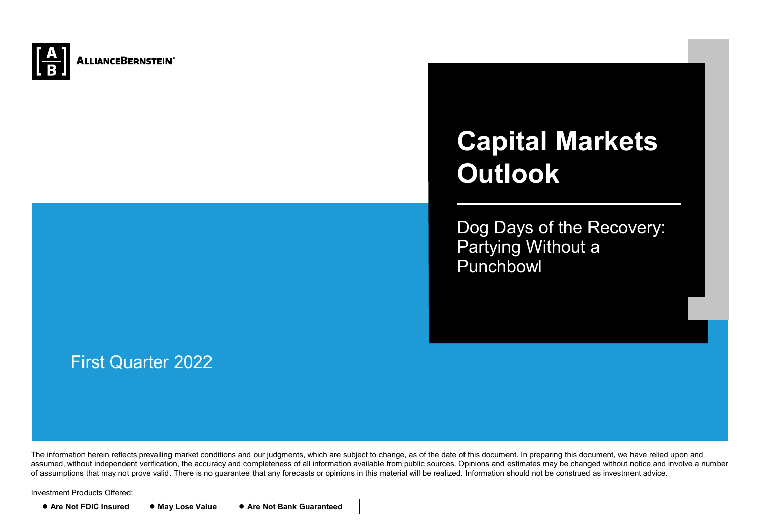

# **Capital Markets Outlook**

Dog Days of the Recovery: Partying Without a Punchbowl

## First Quarter 2022

The information herein reflects prevailing market conditions and our judgments, which are subject to change, as of the date of this document. In preparing this document, we have relied upon and assumed, without independent verification, the accuracy and completeness of all information available from public sources. Opinions and estimates may be changed without notice and involve a number of assumptions that may not prove valid. There is no guarantee that any forecasts or opinions in this material will be realized. Information should not be construed as investment advice.

Investment Products Offered:

● **Are Not FDIC Insured** ● **May Lose Value** ● **Are Not Bank Guaranteed**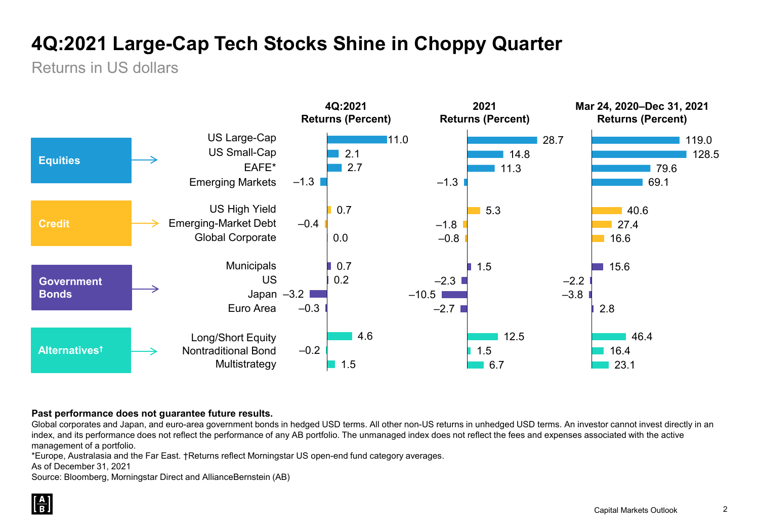## **4Q:2021 Large-Cap Tech Stocks Shine in Choppy Quarter**

Returns in US dollars



#### **Past performance does not guarantee future results.**

Global corporates and Japan, and euro-area government bonds in hedged USD terms. All other non-US returns in unhedged USD terms. An investor cannot invest directly in an index, and its performance does not reflect the performance of any AB portfolio. The unmanaged index does not reflect the fees and expenses associated with the active management of a portfolio.

\*Europe, Australasia and the Far East. †Returns reflect Morningstar US open-end fund category averages.

As of December 31, 2021

Source: Bloomberg, Morningstar Direct and AllianceBernstein (AB)

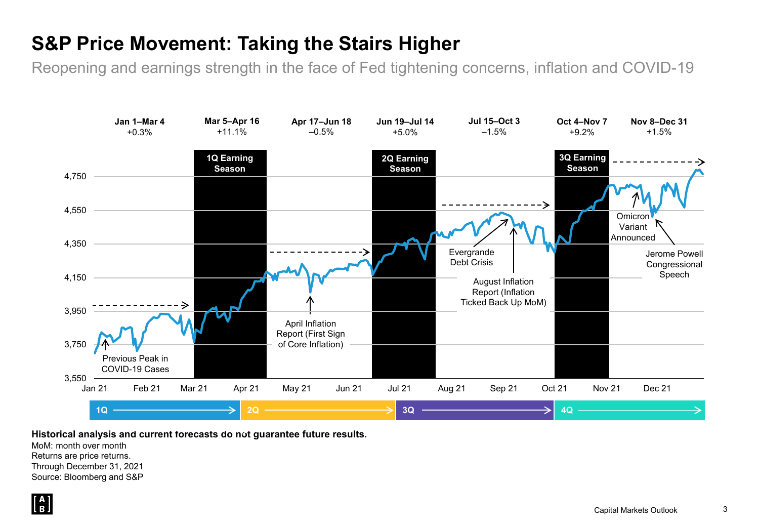## **S&P Price Movement: Taking the Stairs Higher**

Reopening and earnings strength in the face of Fed tightening concerns, inflation and COVID-19



**Historical analysis and current forecasts do not guarantee future results.**

MoM: month over month Returns are price returns. Through December 31, 2021 Source: Bloomberg and S&P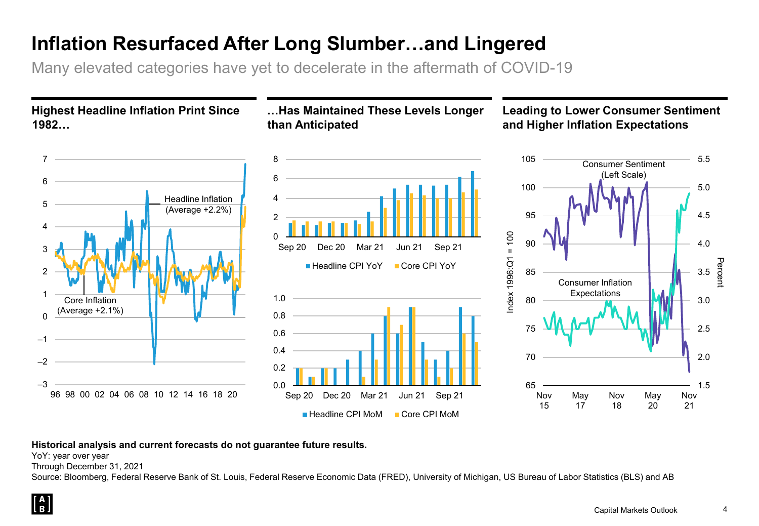## **Inflation Resurfaced After Long Slumber…and Lingered**

0

0.0 0.2 0.4 0.6 0.8 1.0

 $\mathfrak{p}$ 4

6 8

Many elevated categories have yet to decelerate in the aftermath of COVID-19

**Highest Headline Inflation Print Since 1982…**



**…Has Maintained These Levels Longer than Anticipated**

### **Leading to Lower Consumer Sentiment and Higher Inflation Expectations**



#### **Historical analysis and current forecasts do not guarantee future results.**

YoY: year over year

Through December 31, 2021

Source: Bloomberg, Federal Reserve Bank of St. Louis, Federal Reserve Economic Data (FRED), University of Michigan, US Bureau of Labor Statistics (BLS) and AB

1.5

Nov 21

2.0

2.5

3.0

3.5

Percent

4.0

4.5

5.0

5.5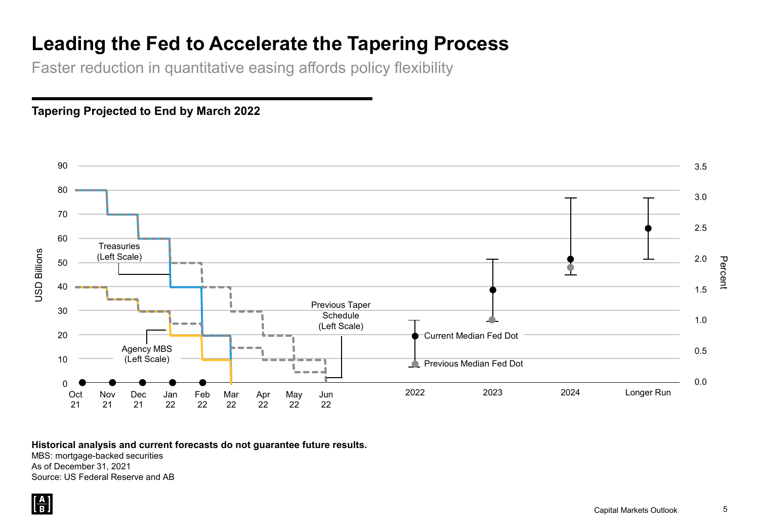## **Leading the Fed to Accelerate the Tapering Process**

Faster reduction in quantitative easing affords policy flexibility





**Historical analysis and current forecasts do not guarantee future results.**

MBS: mortgage-backed securities As of December 31, 2021 Source: US Federal Reserve and AB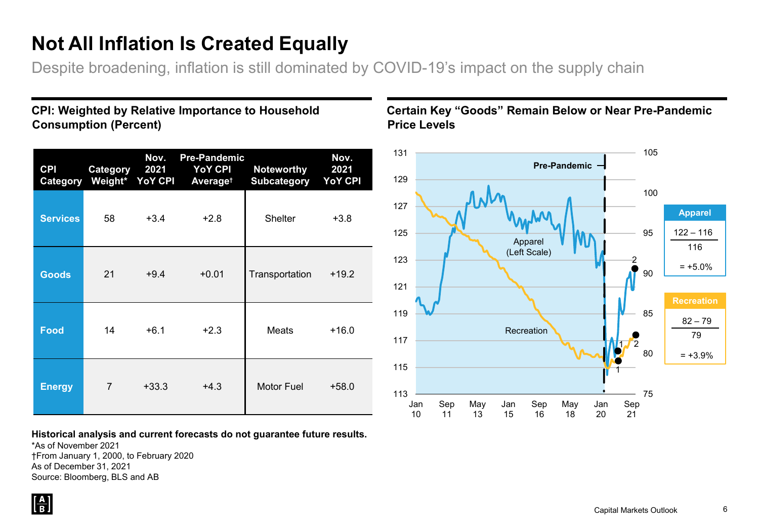## **Not All Inflation Is Created Equally**

Despite broadening, inflation is still dominated by COVID-19's impact on the supply chain

#### **CPI: Weighted by Relative Importance to Household Consumption (Percent)**

| <b>CPI</b><br>Category | Category<br>Weight* | Nov.<br>2021<br><b>YoY CPI</b> | <b>Pre-Pandemic</b><br><b>YoY CPI</b><br>Average <sup>t</sup> | <b>Noteworthy</b><br><b>Subcategory</b> | Nov.<br>2021<br><b>YoY CPI</b> |
|------------------------|---------------------|--------------------------------|---------------------------------------------------------------|-----------------------------------------|--------------------------------|
| <b>Services</b>        | 58                  | $+3.4$                         | $+2.8$                                                        | <b>Shelter</b>                          | $+3.8$                         |
| <b>Goods</b>           | 21                  | $+9.4$                         | $+0.01$                                                       | Transportation                          | $+19.2$                        |
| <b>Food</b>            | 14                  | $+6.1$                         | $+2.3$                                                        | Meats                                   | $+16.0$                        |
| <b>Energy</b>          | $\overline{7}$      | $+33.3$                        | $+4.3$                                                        | Motor Fuel                              | $+58.0$                        |

**Historical analysis and current forecasts do not guarantee future results.**

\*As of November 2021 †From January 1, 2000, to February 2020 As of December 31, 2021 Source: Bloomberg, BLS and AB

#### **Certain Key "Goods" Remain Below or Near Pre-Pandemic Price Levels**

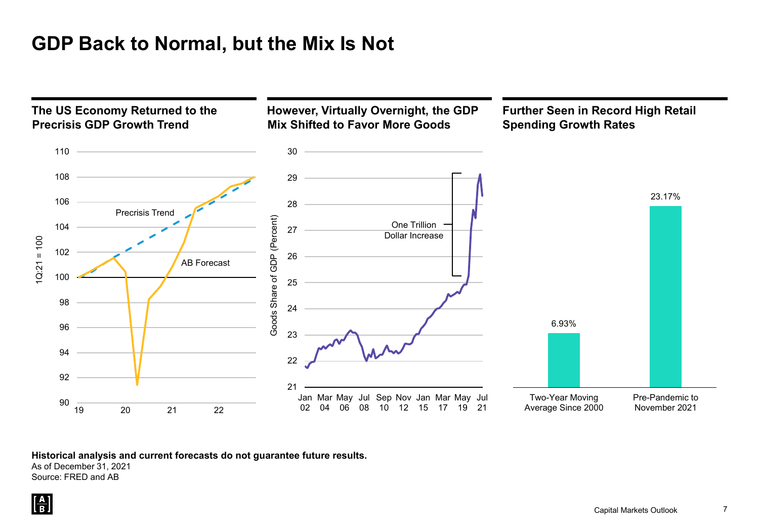## **GDP Back to Normal, but the Mix Is Not**



**Historical analysis and current forecasts do not guarantee future results.**

As of December 31, 2021

Source: FRED and AB

 $\left[\frac{\mathbf{A}}{\mathbf{B}}\right]$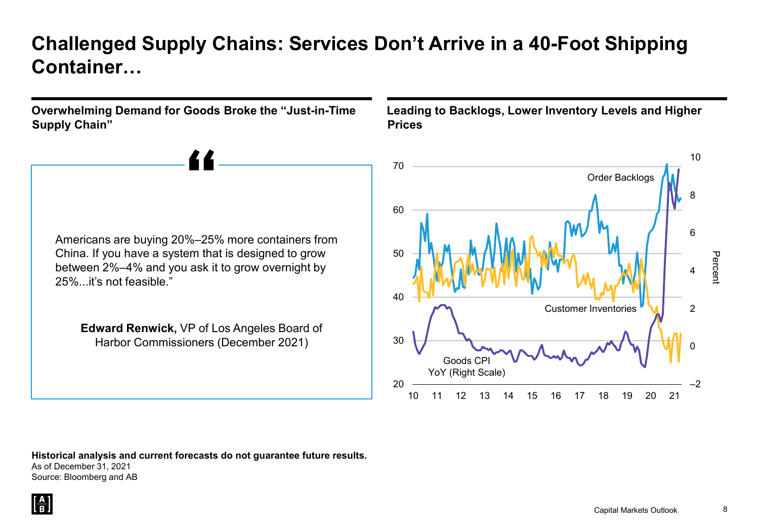## **Challenged Supply Chains: Services Don't Arrive in a 40-Foot Shipping Container…**

**Overwhelming Demand for Goods Broke the "Just-in-Time Supply Chain"**



**Edward Renwick,** VP of Los Angeles Board of Harbor Commissioners (December 2021)

**Leading to Backlogs, Lower Inventory Levels and Higher Prices**



**Historical analysis and current forecasts do not guarantee future results.** As of December 31, 2021 Source: Bloomberg and AB

 $\left[\frac{\mathbf{A}}{\mathbf{B}}\right]$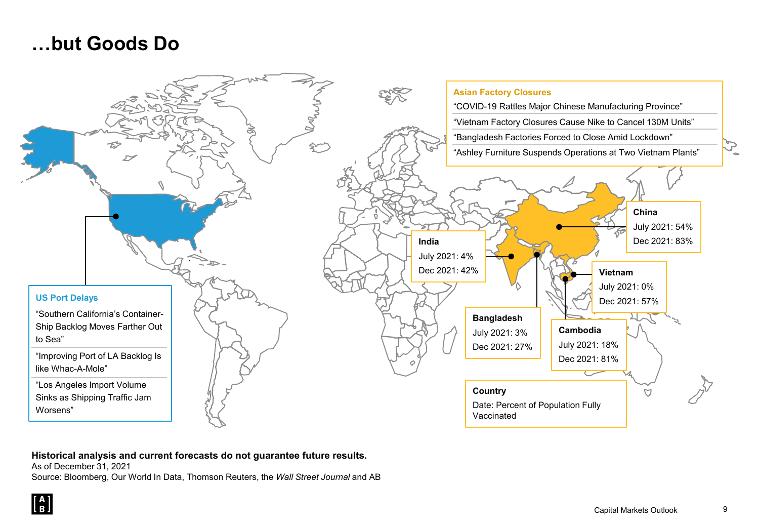## **…but Goods Do**



#### **Historical analysis and current forecasts do not guarantee future results.**

As of December 31, 2021

Source: Bloomberg, Our World In Data, Thomson Reuters, the *Wall Street Journal* and AB

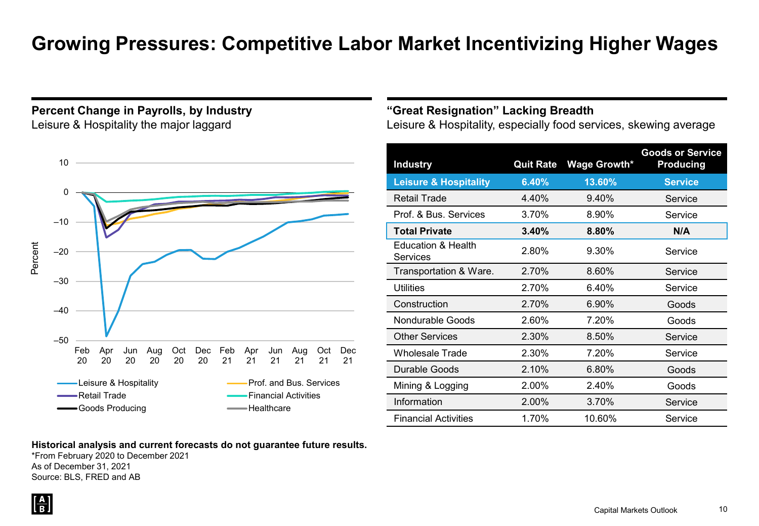## **Growing Pressures: Competitive Labor Market Incentivizing Higher Wages**

#### **Percent Change in Payrolls, by Industry** Leisure & Hospitality the major laggard



#### **Historical analysis and current forecasts do not guarantee future results.**

\*From February 2020 to December 2021 As of December 31, 2021 Source: BLS, FRED and AB

#### **"Great Resignation" Lacking Breadth**

Leisure & Hospitality, especially food services, skewing average

| <b>Industry</b>                                  | <b>Quit Rate</b> | <b>Wage Growth*</b> | <b>Goods or Service</b><br><b>Producing</b> |
|--------------------------------------------------|------------------|---------------------|---------------------------------------------|
| <b>Leisure &amp; Hospitality</b>                 | 6.40%            | 13.60%              | <b>Service</b>                              |
| <b>Retail Trade</b>                              | 4.40%            | 9.40%               | Service                                     |
| Prof. & Bus. Services                            | 3.70%            | 8.90%               | Service                                     |
| <b>Total Private</b>                             | 3.40%            | 8.80%               | N/A                                         |
| <b>Education &amp; Health</b><br><b>Services</b> | 2.80%            | 9.30%               | Service                                     |
| Transportation & Ware.                           | 2.70%            | 8.60%               | Service                                     |
| Utilities                                        | 2.70%            | 6.40%               | Service                                     |
| Construction                                     | 2.70%            | 6.90%               | Goods                                       |
| <b>Nondurable Goods</b>                          | 2.60%            | 7.20%               | Goods                                       |
| <b>Other Services</b>                            | 2.30%            | 8.50%               | Service                                     |
| Wholesale Trade                                  | 2.30%            | 7.20%               | Service                                     |
| Durable Goods                                    | 2.10%            | 6.80%               | Goods                                       |
| Mining & Logging                                 | 2.00%            | 2.40%               | Goods                                       |
| Information                                      | 2.00%            | 3.70%               | Service                                     |
| <b>Financial Activities</b>                      | 1.70%            | 10.60%              | Service                                     |

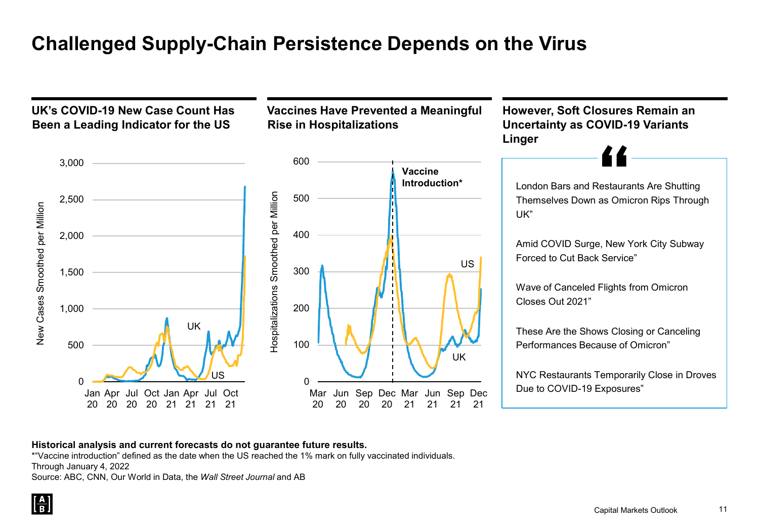## **Challenged Supply-Chain Persistence Depends on the Virus**



#### **Historical analysis and current forecasts do not guarantee future results.**

\*"Vaccine introduction" defined as the date when the US reached the 1% mark on fully vaccinated individuals.

Through January 4, 2022

Source: ABC, CNN, Our World in Data, the *Wall Street Journal* and AB

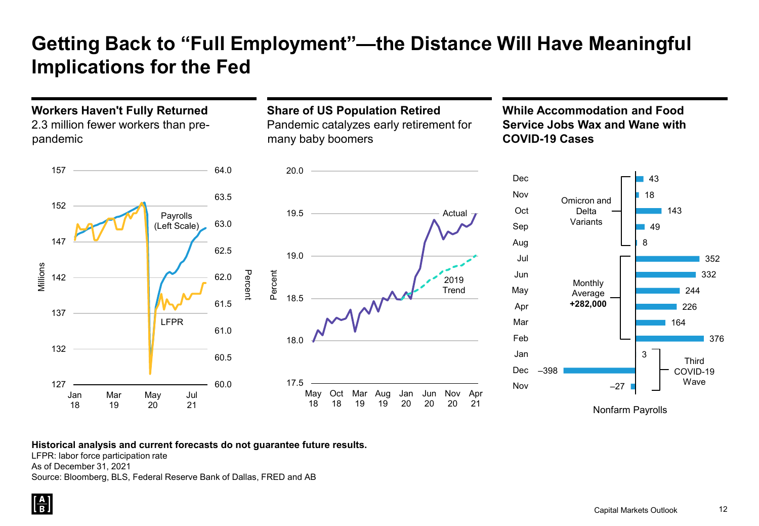## **Getting Back to "Full Employment"—the Distance Will Have Meaningful Implications for the Fed**

#### **Workers Haven't Fully Returned** 2.3 million fewer workers than prepandemic



### **Share of US Population Retired** Pandemic catalyzes early retirement for many baby boomers



#### **While Accommodation and Food Service Jobs Wax and Wane with COVID-19 Cases**



#### **Historical analysis and current forecasts do not guarantee future results.**

LFPR: labor force participation rate

As of December 31, 2021

Source: Bloomberg, BLS, Federal Reserve Bank of Dallas, FRED and AB

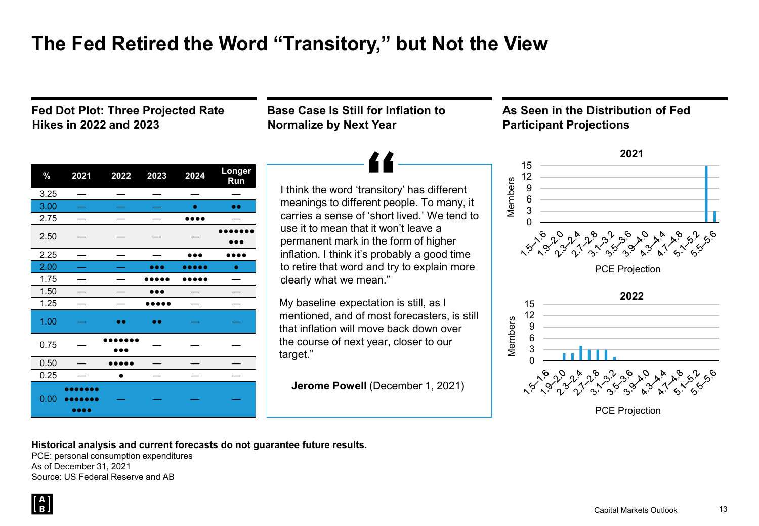## **The Fed Retired the Word "Transitory," but Not the View**

**Fed Dot Plot: Three Projected Rate Hikes in 2022 and 2023**

**Base Case Is Still for Inflation to Normalize by Next Year**

**As Seen in the Distribution of Fed Participant Projections**

| $\%$ | 2021                                 | 2022      | 2023      | 2024 | Longer<br>Run |
|------|--------------------------------------|-----------|-----------|------|---------------|
| 3.25 |                                      |           |           |      |               |
| 3.00 |                                      |           |           | ۰    | $\bullet$     |
| 2.75 |                                      |           |           |      |               |
| 2.50 |                                      |           |           |      |               |
| 2.25 |                                      |           |           |      |               |
| 2.00 |                                      |           |           |      | ●             |
| 1.75 |                                      |           |           |      |               |
| 1.50 |                                      |           |           |      |               |
| 1.25 |                                      |           |           |      |               |
| 1.00 |                                      | $\bullet$ | $\bullet$ |      |               |
| 0.75 |                                      |           |           |      |               |
| 0.50 |                                      |           |           |      |               |
| 0.25 |                                      |           |           |      |               |
| 0.00 | ٥o<br>$\bullet\bullet\bullet\bullet$ |           |           |      |               |

I think the word 'transitory' has different meanings to different people. To many, it carries a sense of 'short lived.' We tend to use it to mean that it won't leave a permanent mark in the form of higher inflation. I think it's probably a good time to retire that word and try to explain more clearly what we mean."

My baseline expectation is still, as I mentioned, and of most forecasters, is still that inflation will move back down over the course of next year, closer to our target."  $\begin{array}{c|c} \multicolumn{3}{c} | & \ge & 5 \ 0 & & \end{array}$ 

**Jerome Powell** (December 1, 2021)



**Historical analysis and current forecasts do not guarantee future results.**

PCE: personal consumption expenditures As of December 31, 2021 Source: US Federal Reserve and AB

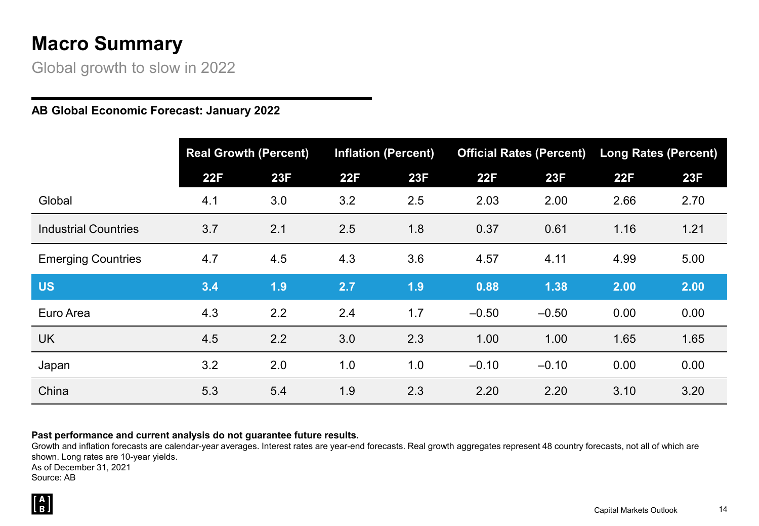## **Macro Summary**

Global growth to slow in 2022

#### **AB Global Economic Forecast: January 2022**

|                             | <b>Real Growth (Percent)</b> |     | <b>Inflation (Percent)</b> |     |         | <b>Official Rates (Percent)</b> | <b>Long Rates (Percent)</b> |      |
|-----------------------------|------------------------------|-----|----------------------------|-----|---------|---------------------------------|-----------------------------|------|
|                             | 22F                          | 23F | 22F                        | 23F | 22F     | 23F                             | 22F                         | 23F  |
| Global                      | 4.1                          | 3.0 | 3.2                        | 2.5 | 2.03    | 2.00                            | 2.66                        | 2.70 |
| <b>Industrial Countries</b> | 3.7                          | 2.1 | 2.5                        | 1.8 | 0.37    | 0.61                            | 1.16                        | 1.21 |
| <b>Emerging Countries</b>   | 4.7                          | 4.5 | 4.3                        | 3.6 | 4.57    | 4.11                            | 4.99                        | 5.00 |
| <b>US</b>                   | 3.4                          | 1.9 | 2.7                        | 1.9 | 0.88    | 1.38                            | 2.00                        | 2.00 |
| Euro Area                   | 4.3                          | 2.2 | 2.4                        | 1.7 | $-0.50$ | $-0.50$                         | 0.00                        | 0.00 |
| <b>UK</b>                   | 4.5                          | 2.2 | 3.0                        | 2.3 | 1.00    | 1.00                            | 1.65                        | 1.65 |
| Japan                       | 3.2                          | 2.0 | 1.0                        | 1.0 | $-0.10$ | $-0.10$                         | 0.00                        | 0.00 |
| China                       | 5.3                          | 5.4 | 1.9                        | 2.3 | 2.20    | 2.20                            | 3.10                        | 3.20 |

#### **Past performance and current analysis do not guarantee future results.**

Growth and inflation forecasts are calendar-year averages. Interest rates are year-end forecasts. Real growth aggregates represent 48 country forecasts, not all of which are shown. Long rates are 10-year yields. As of December 31, 2021 Source: AB

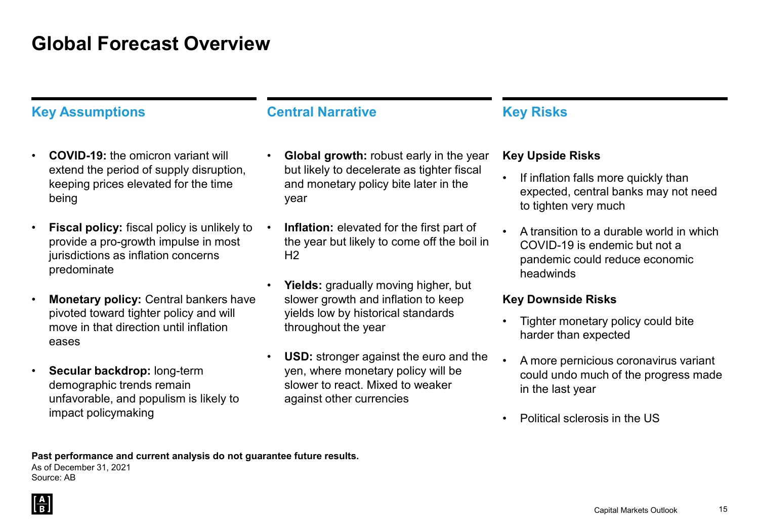## **Global Forecast Overview**

### **Key Assumptions Central Narrative <b>Key Risks**

- **COVID-19:** the omicron variant will extend the period of supply disruption, keeping prices elevated for the time being
- **Fiscal policy:** fiscal policy is unlikely to provide a pro-growth impulse in most jurisdictions as inflation concerns predominate
- **Monetary policy:** Central bankers have pivoted toward tighter policy and will move in that direction until inflation eases
- **Secular backdrop:** long-term demographic trends remain unfavorable, and populism is likely to impact policymaking

- **Global growth:** robust early in the year but likely to decelerate as tighter fiscal and monetary policy bite later in the year
- **Inflation:** elevated for the first part of the year but likely to come off the boil in  $H<sub>2</sub>$
- **Yields:** gradually moving higher, but slower growth and inflation to keep yields low by historical standards throughout the year
- **USD:** stronger against the euro and the yen, where monetary policy will be slower to react. Mixed to weaker against other currencies

#### **Key Upside Risks**

- If inflation falls more quickly than expected, central banks may not need to tighten very much
- A transition to a durable world in which COVID-19 is endemic but not a pandemic could reduce economic headwinds

#### **Key Downside Risks**

- Tighter monetary policy could bite harder than expected
- A more pernicious coronavirus variant could undo much of the progress made in the last year
- Political sclerosis in the US

**Past performance and current analysis do not guarantee future results.**  As of December 31, 2021 Source: AB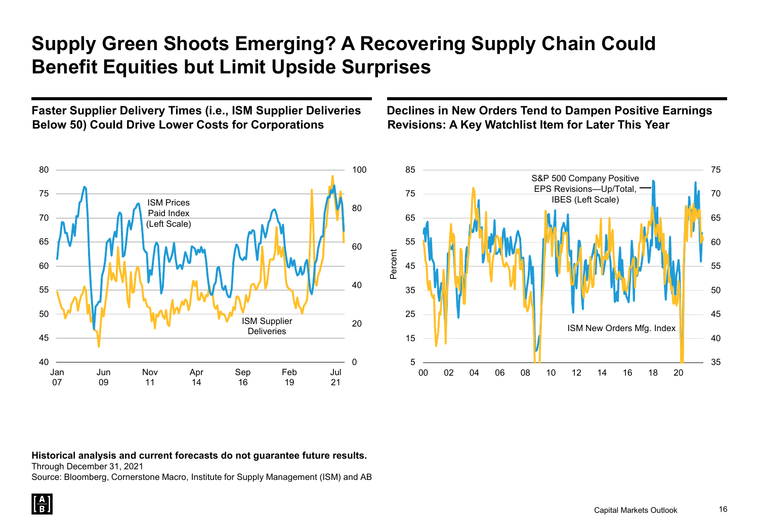## **Supply Green Shoots Emerging? A Recovering Supply Chain Could Benefit Equities but Limit Upside Surprises**

**Faster Supplier Delivery Times (i.e., ISM Supplier Deliveries Below 50) Could Drive Lower Costs for Corporations**

#### $\Omega$ 20 40 60 80 100 40 45 50 55 60 65 70 75 80 Jan 07 Jun 09 Nov 11 Apr 14 Sep 16 Feb 19 Jul 21 ISM Prices Paid Index (Left Scale) ISM Supplier **Deliveries**

#### **Declines in New Orders Tend to Dampen Positive Earnings Revisions: A Key Watchlist Item for Later This Year**



#### **Historical analysis and current forecasts do not guarantee future results.**

Through December 31, 2021

Source: Bloomberg, Cornerstone Macro, Institute for Supply Management (ISM) and AB

 $\left[\frac{\mathbf{A}}{\mathbf{B}}\right]$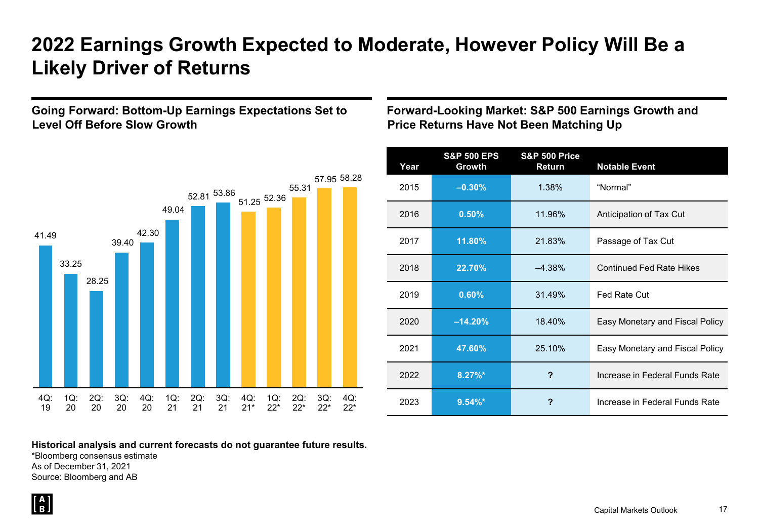## **2022 Earnings Growth Expected to Moderate, However Policy Will Be a Likely Driver of Returns**

#### **Going Forward: Bottom-Up Earnings Expectations Set to Level Off Before Slow Growth**



**Forward-Looking Market: S&P 500 Earnings Growth and Price Returns Have Not Been Matching Up**

| Year | <b>S&amp;P 500 EPS</b><br>Growth | <b>S&amp;P 500 Price</b><br>Return | <b>Notable Event</b>            |
|------|----------------------------------|------------------------------------|---------------------------------|
| 2015 | $-0.30%$                         | 1.38%                              | "Normal"                        |
| 2016 | 0.50%                            | 11.96%                             | Anticipation of Tax Cut         |
| 2017 | 11.80%                           | 21.83%                             | Passage of Tax Cut              |
| 2018 | 22.70%                           | $-4.38%$                           | <b>Continued Fed Rate Hikes</b> |
| 2019 | 0.60%                            | 31.49%                             | Fed Rate Cut                    |
| 2020 | $-14.20%$                        | 18.40%                             | Easy Monetary and Fiscal Policy |
| 2021 | 47.60%                           | 25.10%                             | Easy Monetary and Fiscal Policy |
| 2022 | $8.27\%$ *                       | ?                                  | Increase in Federal Funds Rate  |
| 2023 | $9.54\%$ *                       | ?                                  | Increase in Federal Funds Rate  |

**Historical analysis and current forecasts do not guarantee future results.**

\*Bloomberg consensus estimate As of December 31, 2021 Source: Bloomberg and AB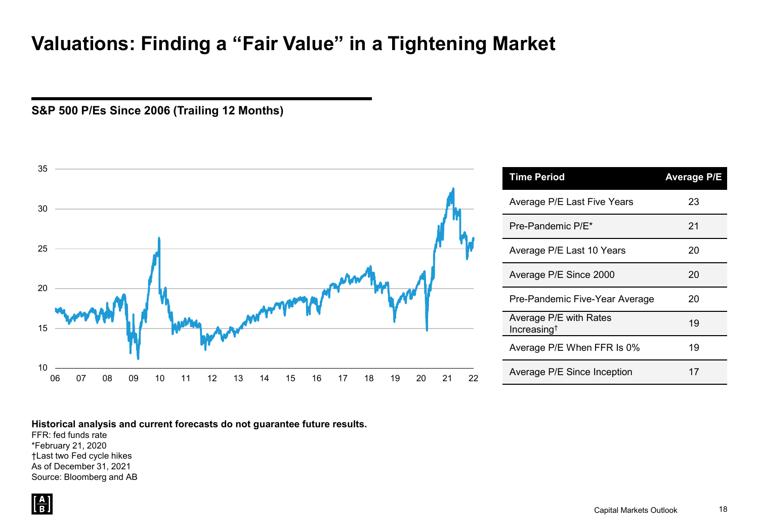## **Valuations: Finding a "Fair Value" in a Tightening Market**

**S&P 500 P/Es Since 2006 (Trailing 12 Months)**



#### **Historical analysis and current forecasts do not guarantee future results.**

FFR: fed funds rate \*February 21, 2020 †Last two Fed cycle hikes As of December 31, 2021 Source: Bloomberg and AB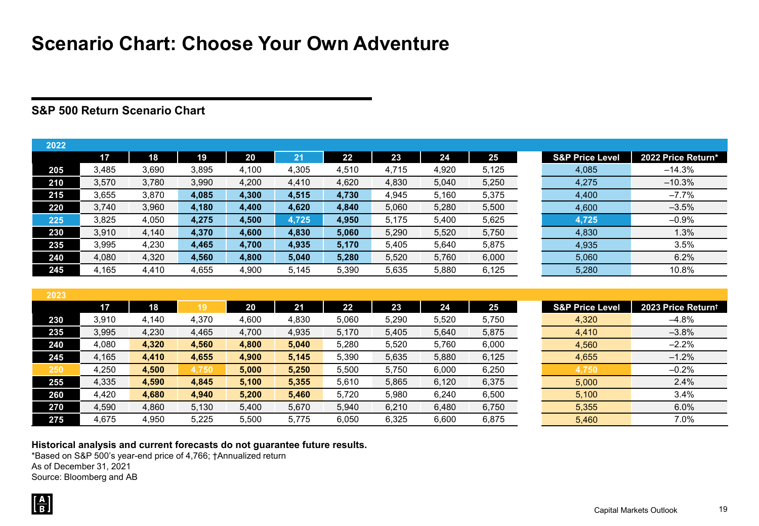## **Scenario Chart: Choose Your Own Adventure**

#### **S&P 500 Return Scenario Chart**

| 2022 |       |       |       |       |       |       |       |       |       |                            |                    |
|------|-------|-------|-------|-------|-------|-------|-------|-------|-------|----------------------------|--------------------|
|      | 17    | 18    | 19    | 20    | 21    | 22    | 23    | 24    | 25    | <b>S&amp;P Price Level</b> | 2022 Price Return* |
| 205  | 3.485 | 3,690 | 3,895 | 4,100 | 4,305 | 4,510 | 4.715 | 4,920 | 5,125 | 4,085                      | $-14.3%$           |
| 210  | 3,570 | 3,780 | 3,990 | 4,200 | 4,410 | 4,620 | 4,830 | 5,040 | 5,250 | 4,275                      | $-10.3%$           |
| 215  | 3.655 | 3,870 | 4,085 | 4,300 | 4,515 | 4,730 | 4,945 | 5,160 | 5,375 | 4,400                      | $-7.7%$            |
| 220  | 3.740 | 3,960 | 4,180 | 4,400 | 4,620 | 4.840 | 5,060 | 5,280 | 5,500 | 4,600                      | $-3.5%$            |
| 225  | 3.825 | 4,050 | 4,275 | 4,500 | 4,725 | 4.950 | 5,175 | 5,400 | 5,625 | 4,725                      | $-0.9%$            |
| 230  | 3,910 | 4,140 | 4,370 | 4,600 | 4,830 | 5,060 | 5,290 | 5,520 | 5,750 | 4,830                      | 1.3%               |
| 235  | 3,995 | 4,230 | 4,465 | 4,700 | 4,935 | 5,170 | 5,405 | 5,640 | 5,875 | 4,935                      | 3.5%               |
| 240  | 4,080 | 4,320 | 4,560 | 4,800 | 5,040 | 5,280 | 5,520 | 5,760 | 6,000 | 5,060                      | 6.2%               |
| 245  | 4.165 | 4,410 | 4.655 | 4.900 | 5.145 | 5,390 | 5,635 | 5,880 | 6,125 | 5,280                      | 10.8%              |

| 2023 |       |       |       |       |       |       |       |       |       |                            |                    |
|------|-------|-------|-------|-------|-------|-------|-------|-------|-------|----------------------------|--------------------|
|      | 17    | 18    | 19    | 20    | 21    | 22    | 23    | 24    | 25    | <b>S&amp;P Price Level</b> | 2023 Price Returnt |
| 230  | 3.910 | 4,140 | 4,370 | 4,600 | 4,830 | 5,060 | 5,290 | 5,520 | 5,750 | 4,320                      | $-4.8%$            |
| 235  | 3,995 | 4,230 | 4,465 | 4,700 | 4,935 | 5,170 | 5,405 | 5,640 | 5,875 | 4,410                      | $-3.8%$            |
| 240  | 4.080 | 4,320 | 4,560 | 4,800 | 5,040 | 5.280 | 5,520 | 5.760 | 6,000 | 4,560                      | $-2.2%$            |
| 245  | 4,165 | 4,410 | 4,655 | 4,900 | 5,145 | 5,390 | 5,635 | 5,880 | 6,125 | 4,655                      | $-1.2%$            |
| 250  | 4.250 | 4,500 | 4.750 | 5,000 | 5,250 | 5.500 | 5,750 | 6,000 | 6,250 | 4,750                      | $-0.2%$            |
| 255  | 4,335 | 4,590 | 4,845 | 5,100 | 5,355 | 5,610 | 5,865 | 6,120 | 6,375 | 5,000                      | 2.4%               |
| 260  | 4.420 | 4,680 | 4,940 | 5.200 | 5,460 | 5.720 | 5,980 | 6,240 | 6,500 | 5,100                      | 3.4%               |
| 270  | 4,590 | 4,860 | 5,130 | 5,400 | 5,670 | 5,940 | 6,210 | 6,480 | 6,750 | 5,355                      | 6.0%               |
| 275  | 4.675 | 4,950 | 5.225 | 5,500 | 5.775 | 6.050 | 6,325 | 6,600 | 6,875 | 5,460                      | 7.0%               |

#### **Historical analysis and current forecasts do not guarantee future results.**

\*Based on S&P 500's year-end price of 4,766; †Annualized return As of December 31, 2021

Source: Bloomberg and AB

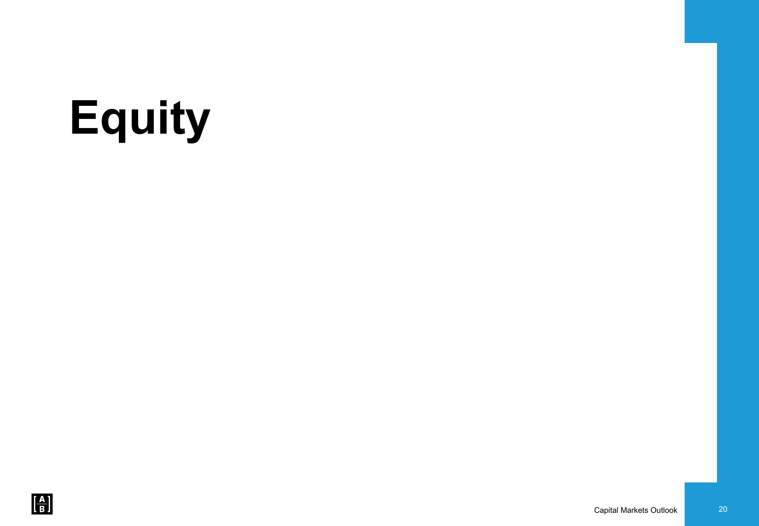# **Equity**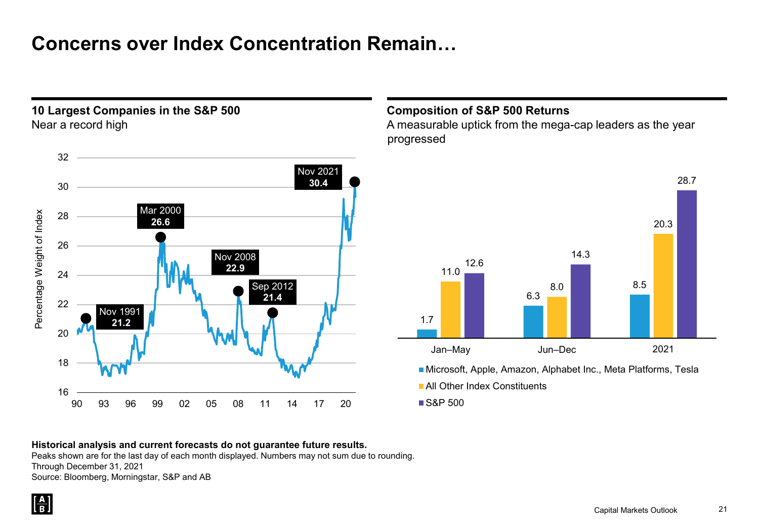## **Concerns over Index Concentration Remain…**



**10 Largest Companies in the S&P 500**

#### **Composition of S&P 500 Returns**

A measurable uptick from the mega-cap leaders as the year progressed



**Historical analysis and current forecasts do not guarantee future results.** Peaks shown are for the last day of each month displayed. Numbers may not sum due to rounding. Through December 31, 2021 Source: Bloomberg, Morningstar, S&P and AB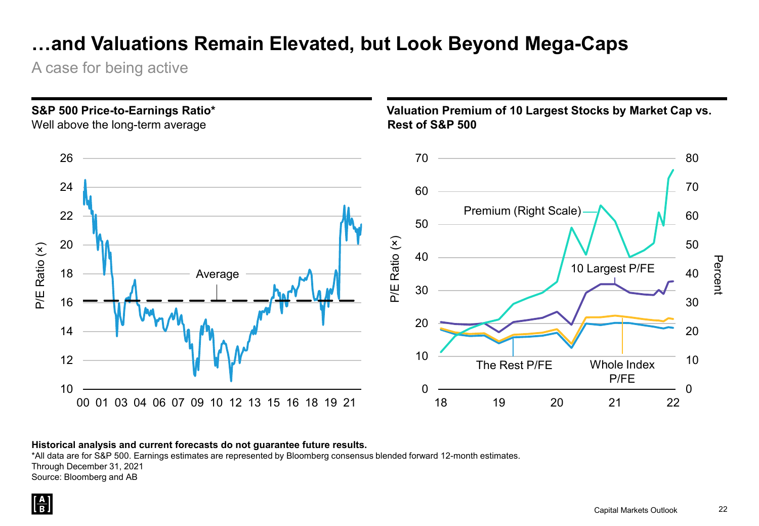## **…and Valuations Remain Elevated, but Look Beyond Mega-Caps**

A case for being active



#### **Historical analysis and current forecasts do not guarantee future results.**

\*All data are for S&P 500. Earnings estimates are represented by Bloomberg consensus blended forward 12-month estimates. Through December 31, 2021 Source: Bloomberg and AB

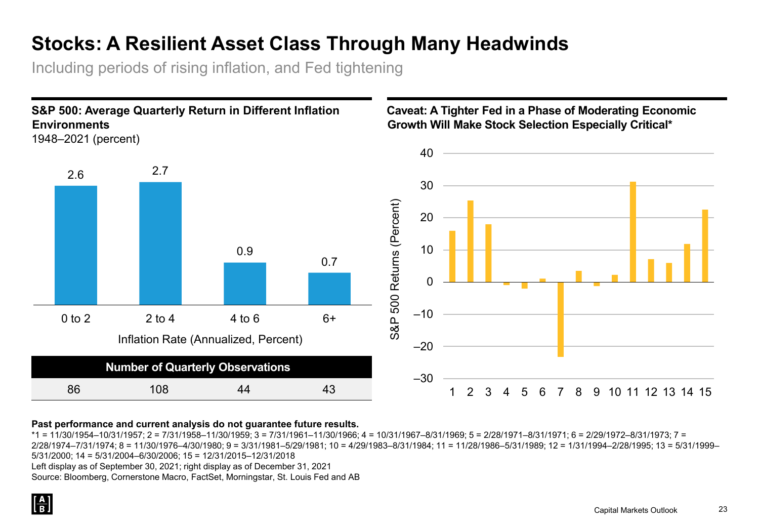## **Stocks: A Resilient Asset Class Through Many Headwinds**

Including periods of rising inflation, and Fed tightening



#### **Past performance and current analysis do not guarantee future results.**

 $*1 = 11/30/1954-10/31/1957$ ;  $2 = 7/31/1958-11/30/1959$ ;  $3 = 7/31/1961-11/30/1966$ ;  $4 = 10/31/1967-8/31/1969$ ;  $5 = 2/28/1971-8/31/1971$ ;  $6 = 2/29/1972-8/31/1973$ ;  $7 = 1/29/1972$ 2/28/1974–7/31/1974; 8 = 11/30/1976–4/30/1980; 9 = 3/31/1981–5/29/1981; 10 = 4/29/1983–8/31/1984; 11 = 11/28/1986–5/31/1989; 12 = 1/31/1994–2/28/1995; 13 = 5/31/1999– 5/31/2000; 14 = 5/31/2004–6/30/2006; 15 = 12/31/2015–12/31/2018 Left display as of September 30, 2021; right display as of December 31, 2021 Source: Bloomberg, Cornerstone Macro, FactSet, Morningstar, St. Louis Fed and AB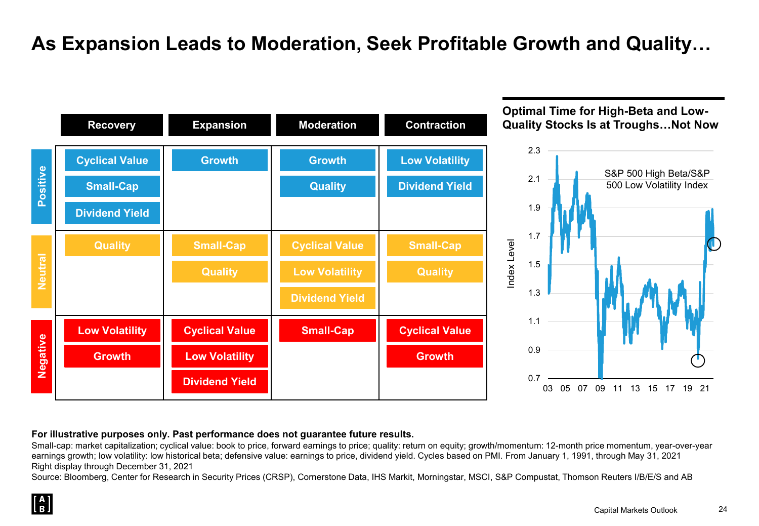## **As Expansion Leads to Moderation, Seek Profitable Growth and Quality…**



#### **For illustrative purposes only. Past performance does not guarantee future results.**

Small-cap: market capitalization; cyclical value: book to price, forward earnings to price; quality: return on equity; growth/momentum: 12-month price momentum, year-over-year earnings growth; low volatility: low historical beta; defensive value: earnings to price, dividend yield. Cycles based on PMI. From January 1, 1991, through May 31, 2021 Right display through December 31, 2021

Source: Bloomberg, Center for Research in Security Prices (CRSP), Cornerstone Data, IHS Markit, Morningstar, MSCI, S&P Compustat, Thomson Reuters I/B/E/S and AB

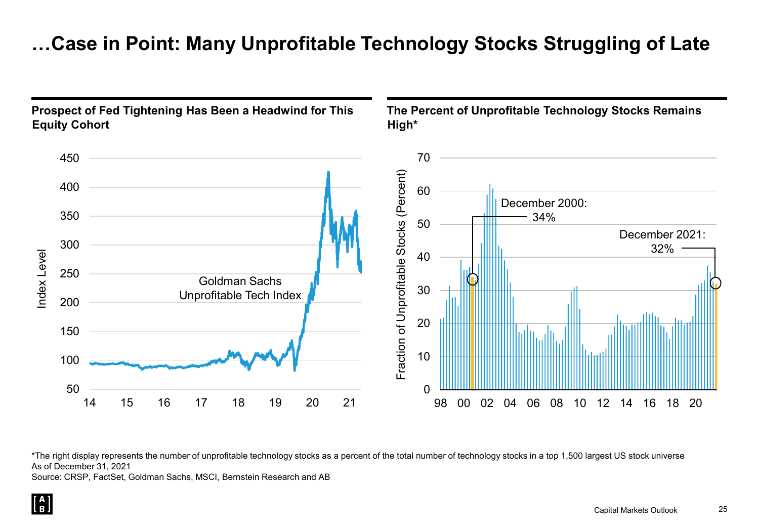## **…Case in Point: Many Unprofitable Technology Stocks Struggling of Late**



\*The right display represents the number of unprofitable technology stocks as a percent of the total number of technology stocks in a top 1,500 largest US stock universe As of December 31, 2021

Source: CRSP, FactSet, Goldman Sachs, MSCI, Bernstein Research and AB

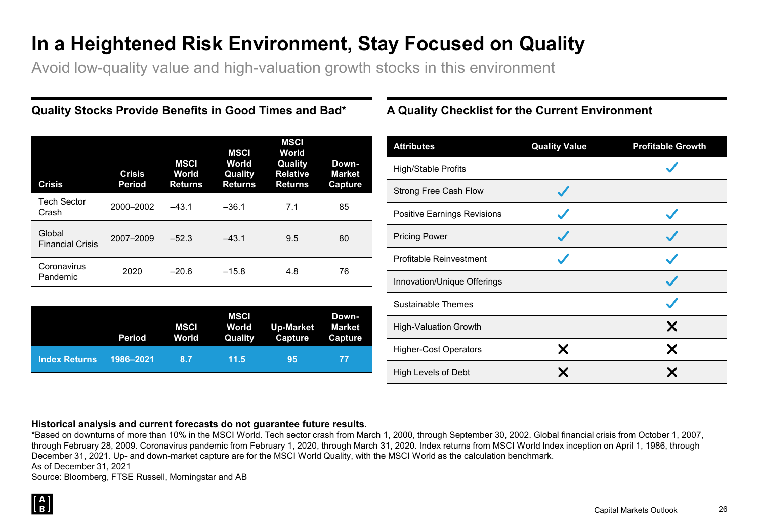## **In a Heightened Risk Environment, Stay Focused on Quality**

Avoid low-quality value and high-valuation growth stocks in this environment

| <b>Crisis</b>                     | <b>Crisis</b><br><b>Period</b> | <b>MSCI</b><br>World<br><b>Returns</b> | <b>MSCI</b><br>World<br>Quality<br><b>Returns</b> | <b>MSCI</b><br>World<br>Quality<br><b>Relative</b><br><b>Returns</b> | Down-<br><b>Market</b><br>Capture |
|-----------------------------------|--------------------------------|----------------------------------------|---------------------------------------------------|----------------------------------------------------------------------|-----------------------------------|
| <b>Tech Sector</b><br>Crash       | 2000-2002                      | $-43.1$                                | $-36.1$                                           | 7.1                                                                  | 85                                |
| Global<br><b>Financial Crisis</b> | 2007-2009                      | $-52.3$                                | $-43.1$                                           | 9.5                                                                  | 80                                |
| Coronavirus<br>Pandemic           | 2020                           | $-20.6$                                | $-15.8$                                           | 4.8                                                                  | 76                                |

|                      | Period    | MSCI<br>World | <b>MSCI</b><br>World<br>Quality | Up-Market<br><b>Capture</b> | Down-<br>Market<br>Capture |
|----------------------|-----------|---------------|---------------------------------|-----------------------------|----------------------------|
| <b>Index Returns</b> | 1986-2021 | 8.7           | 11.5                            | 95                          | -77                        |

### **Quality Stocks Provide Benefits in Good Times and Bad\* A Quality Checklist for the Current Environment**

| <b>Attributes</b>            | <b>Quality Value</b> | <b>Profitable Growth</b> |
|------------------------------|----------------------|--------------------------|
| High/Stable Profits          |                      |                          |
| Strong Free Cash Flow        |                      |                          |
| Positive Earnings Revisions  |                      |                          |
| <b>Pricing Power</b>         |                      |                          |
| Profitable Reinvestment      |                      |                          |
| Innovation/Unique Offerings  |                      |                          |
| <b>Sustainable Themes</b>    |                      |                          |
| <b>High-Valuation Growth</b> |                      | Х                        |
| <b>Higher-Cost Operators</b> | X                    | Χ                        |
| High Levels of Debt          |                      | Х                        |

#### **Historical analysis and current forecasts do not guarantee future results.**

\*Based on downturns of more than 10% in the MSCI World. Tech sector crash from March 1, 2000, through September 30, 2002. Global financial crisis from October 1, 2007, through February 28, 2009. Coronavirus pandemic from February 1, 2020, through March 31, 2020. Index returns from MSCI World Index inception on April 1, 1986, through December 31, 2021. Up- and down-market capture are for the MSCI World Quality, with the MSCI World as the calculation benchmark. As of December 31, 2021

Source: Bloomberg, FTSE Russell, Morningstar and AB

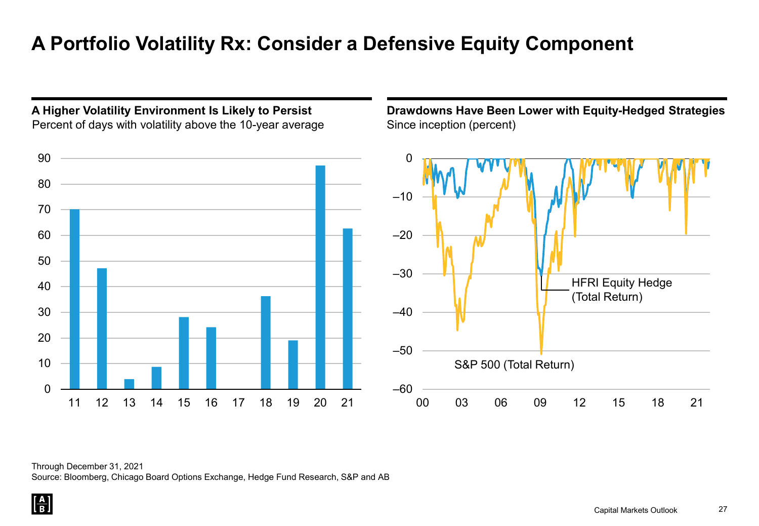## **A Portfolio Volatility Rx: Consider a Defensive Equity Component**



**A Higher Volatility Environment Is Likely to Persist**

**Drawdowns Have Been Lower with Equity-Hedged Strategies** Since inception (percent)



Through December 31, 2021 Source: Bloomberg, Chicago Board Options Exchange, Hedge Fund Research, S&P and AB

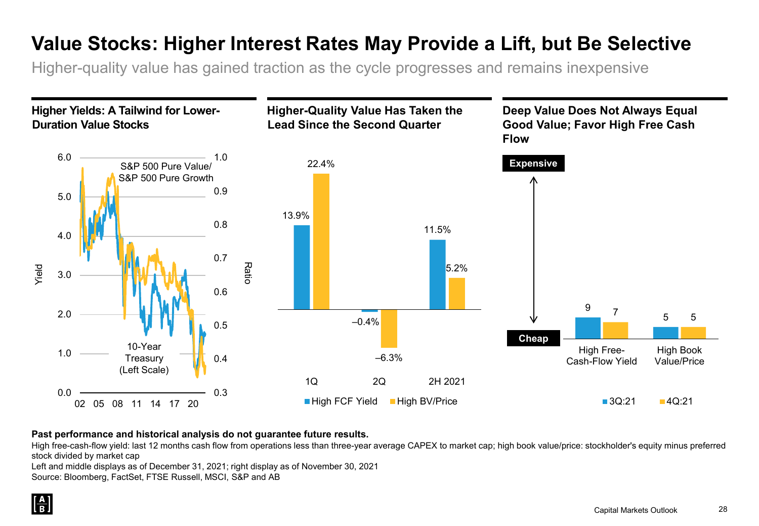## **Value Stocks: Higher Interest Rates May Provide a Lift, but Be Selective**

Higher-quality value has gained traction as the cycle progresses and remains inexpensive



#### **Past performance and historical analysis do not guarantee future results.**

High free-cash-flow yield: last 12 months cash flow from operations less than three-year average CAPEX to market cap; high book value/price: stockholder's equity minus preferred stock divided by market cap

Left and middle displays as of December 31, 2021; right display as of November 30, 2021

Source: Bloomberg, FactSet, FTSE Russell, MSCI, S&P and AB

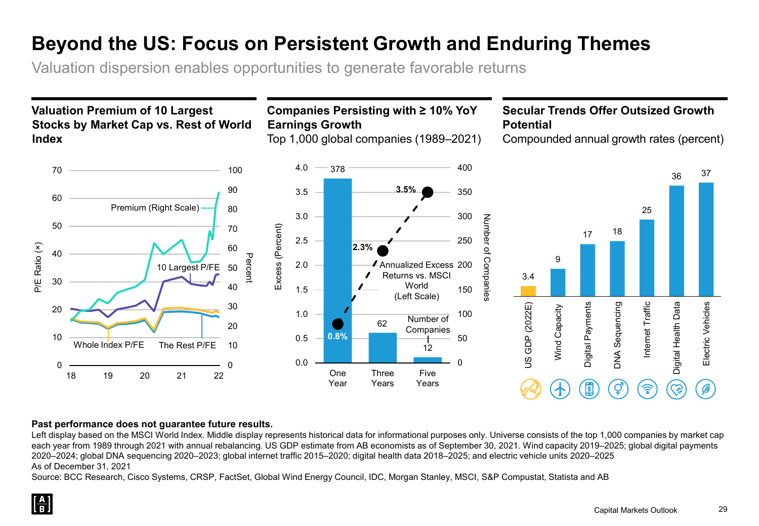## **Beyond the US: Focus on Persistent Growth and Enduring Themes**

Valuation dispersion enables opportunities to generate favorable returns

### **Valuation Premium of 10 Largest Stocks by Market Cap vs. Rest of World Index**

**Companies Persisting with ≥ 10% YoY Earnings Growth**

Top 1,000 global companies (1989–2021)

### **Secular Trends Offer Outsized Growth Potential**

Compounded annual growth rates (percent)



#### **Past performance does not guarantee future results.**

Left display based on the MSCI World Index. Middle display represents historical data for informational purposes only. Universe consists of the top 1,000 companies by market cap each year from 1989 through 2021 with annual rebalancing. US GDP estimate from AB economists as of September 30, 2021. Wind capacity 2019–2025; global digital payments 2020–2024; global DNA sequencing 2020–2023; global internet traffic 2015–2020; digital health data 2018–2025; and electric vehicle units 2020–2025 As of December 31, 2021

Source: BCC Research, Cisco Systems, CRSP, FactSet, Global Wind Energy Council, IDC, Morgan Stanley, MSCI, S&P Compustat, Statista and AB

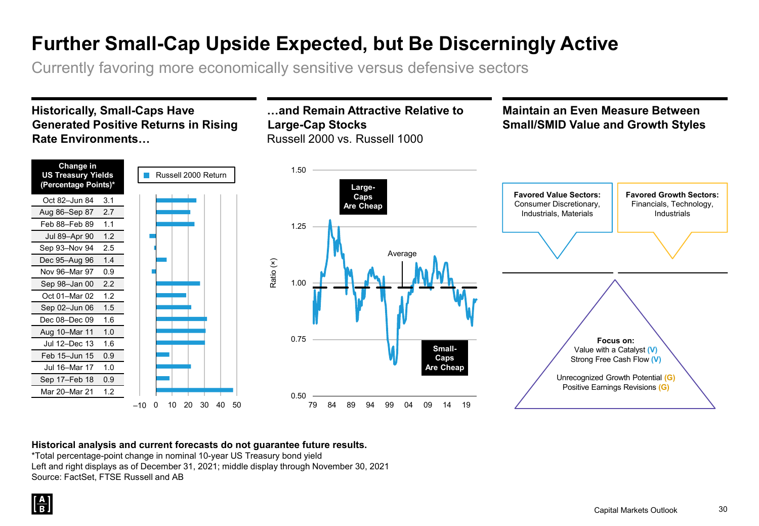## **Further Small-Cap Upside Expected, but Be Discerningly Active**

Currently favoring more economically sensitive versus defensive sectors

#### **Historically, Small-Caps Have Generated Positive Returns in Rising Rate Environments…**



#### **…and Remain Attractive Relative to Large-Cap Stocks**  Russell 2000 vs. Russell 1000

#### **Maintain an Even Measure Between Small/SMID Value and Growth Styles**





#### **Historical analysis and current forecasts do not guarantee future results.**

\*Total percentage-point change in nominal 10-year US Treasury bond yield Left and right displays as of December 31, 2021; middle display through November 30, 2021 Source: FactSet, FTSE Russell and AB

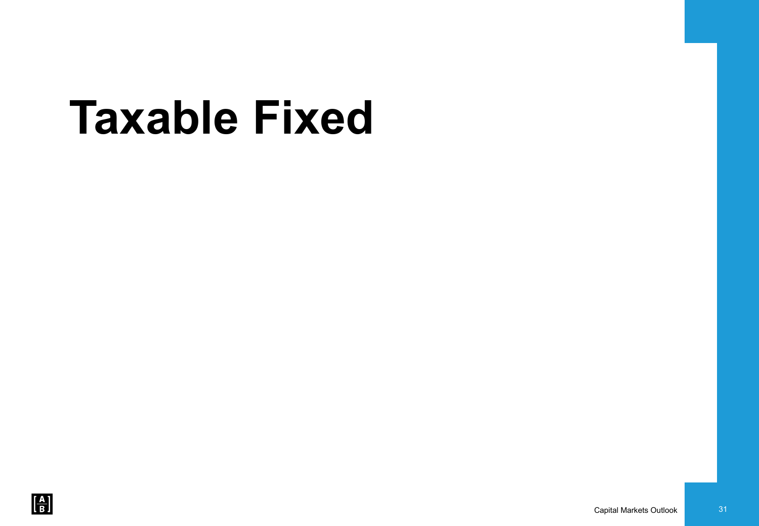# **Taxable Fixed**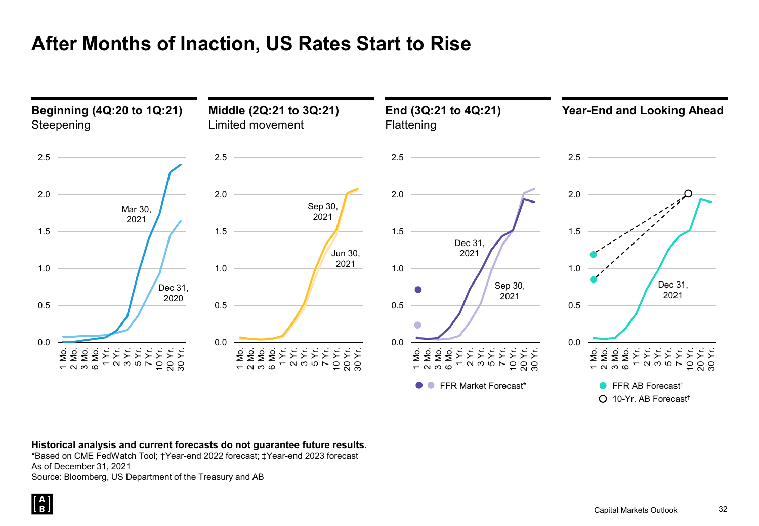## **After Months of Inaction, US Rates Start to Rise**



**Historical analysis and current forecasts do not guarantee future results.**

\*Based on CME FedWatch Tool; †Year-end 2022 forecast; ‡Year-end 2023 forecast As of December 31, 2021

Source: Bloomberg, US Department of the Treasury and AB

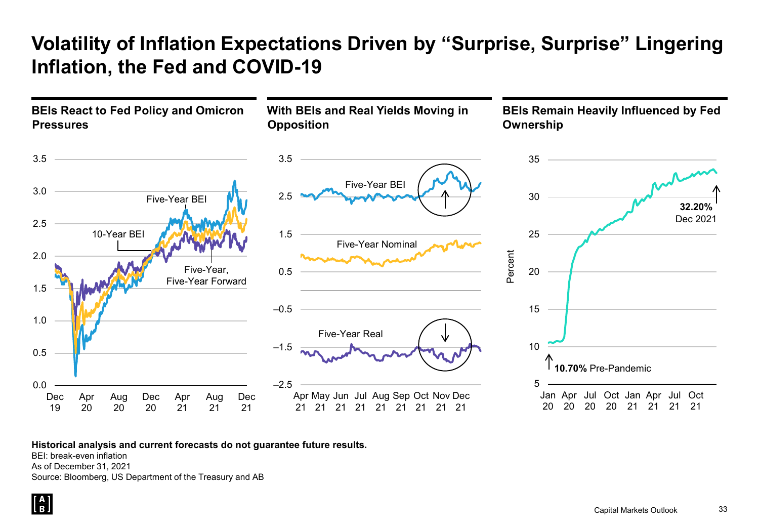## **Volatility of Inflation Expectations Driven by "Surprise, Surprise" Lingering Inflation, the Fed and COVID-19**



**Historical analysis and current forecasts do not guarantee future results.**

BEI: break-even inflation

As of December 31, 2021

Source: Bloomberg, US Department of the Treasury and AB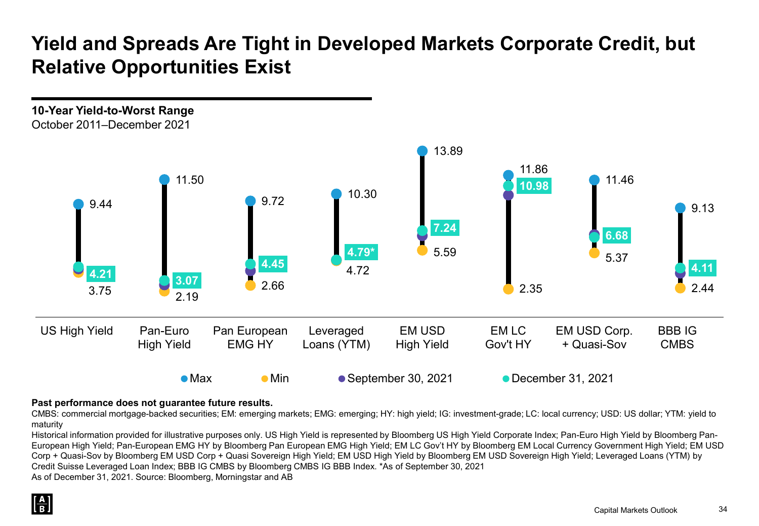## **Yield and Spreads Are Tight in Developed Markets Corporate Credit, but Relative Opportunities Exist**



#### **Past performance does not guarantee future results.**

CMBS: commercial mortgage-backed securities; EM: emerging markets; EMG: emerging; HY: high yield; IG: investment-grade; LC: local currency; USD: US dollar; YTM: yield to maturity

Historical information provided for illustrative purposes only. US High Yield is represented by Bloomberg US High Yield Corporate Index; Pan-Euro High Yield by Bloomberg Pan-European High Yield; Pan-European EMG HY by Bloomberg Pan European EMG High Yield; EM LC Gov't HY by Bloomberg EM Local Currency Government High Yield; EM USD Corp + Quasi-Sov by Bloomberg EM USD Corp + Quasi Sovereign High Yield; EM USD High Yield by Bloomberg EM USD Sovereign High Yield; Leveraged Loans (YTM) by Credit Suisse Leveraged Loan Index; BBB IG CMBS by Bloomberg CMBS IG BBB Index. \*As of September 30, 2021

As of December 31, 2021. Source: Bloomberg, Morningstar and AB

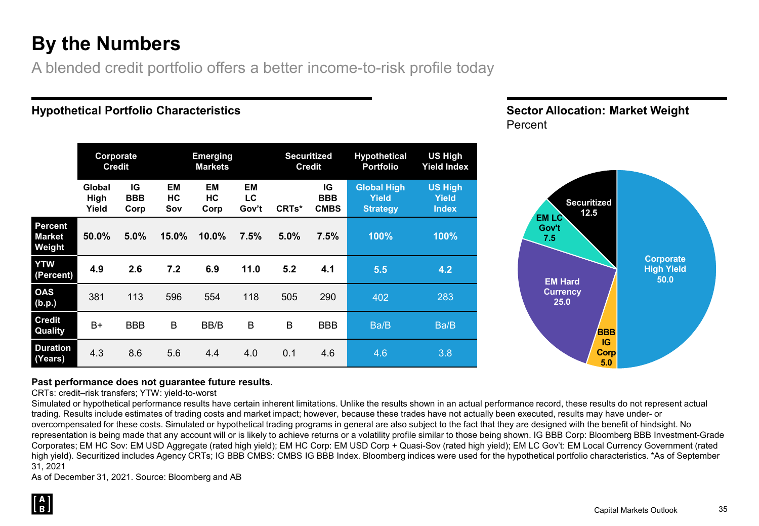## **By the Numbers**

A blended credit portfolio offers a better income-to-risk profile today

#### **Hypothetical Portfolio Characteristics**

|                                    | Corporate<br><b>Credit</b> |                          |                        | <b>Emerging</b><br><b>Markets</b> |                          |                    | <b>Securitized</b><br><b>Credit</b> | <b>Hypothetical</b><br><b>Portfolio</b>               | <b>US High</b><br><b>Yield Index</b>           |
|------------------------------------|----------------------------|--------------------------|------------------------|-----------------------------------|--------------------------|--------------------|-------------------------------------|-------------------------------------------------------|------------------------------------------------|
|                                    | Global<br>High<br>Yield    | IG<br><b>BBB</b><br>Corp | <b>EM</b><br>HC<br>Sov | <b>EM</b><br>HC<br>Corp           | <b>EM</b><br>LC<br>Gov't | CRT <sub>s</sub> * | IG<br><b>BBB</b><br><b>CMBS</b>     | <b>Global High</b><br><b>Yield</b><br><b>Strategy</b> | <b>US High</b><br><b>Yield</b><br><b>Index</b> |
| <b>Percent</b><br>Market<br>Weight | 50.0%                      | 5.0%                     | 15.0%                  | 10.0%                             | 7.5%                     | 5.0%               | 7.5%                                | 100%                                                  | 100%                                           |
|                                    |                            |                          |                        |                                   |                          |                    |                                     |                                                       |                                                |
| YTW<br>(Percent)                   | 4.9                        | 2.6                      | 7.2                    | 6.9                               | 11.0                     | 5.2                | 4.1                                 | 5.5                                                   | 4.2                                            |
| <b>OAS</b><br>(b.p.)               | 381                        | 113                      | 596                    | 554                               | 118                      | 505                | 290                                 | 402                                                   | 283                                            |
| <b>Credit</b><br>Quality           | B+                         | <b>BBB</b>               | B                      | BB/B                              | B                        | B                  | <b>BBB</b>                          | Ba/B                                                  | Ba/B                                           |





#### **Past performance does not guarantee future results.**

CRTs: credit–risk transfers; YTW: yield-to-worst

Simulated or hypothetical performance results have certain inherent limitations. Unlike the results shown in an actual performance record, these results do not represent actual trading. Results include estimates of trading costs and market impact; however, because these trades have not actually been executed, results may have under- or overcompensated for these costs. Simulated or hypothetical trading programs in general are also subject to the fact that they are designed with the benefit of hindsight. No representation is being made that any account will or is likely to achieve returns or a volatility profile similar to those being shown. IG BBB Corp: Bloomberg BBB Investment-Grade Corporates; EM HC Sov: EM USD Aggregate (rated high yield); EM HC Corp: EM USD Corp + Quasi-Sov (rated high yield); EM LC Gov't: EM Local Currency Government (rated high yield). Securitized includes Agency CRTs; IG BBB CMBS: CMBS IG BBB Index. Bloomberg indices were used for the hypothetical portfolio characteristics. \*As of September 31, 2021

As of December 31, 2021. Source: Bloomberg and AB

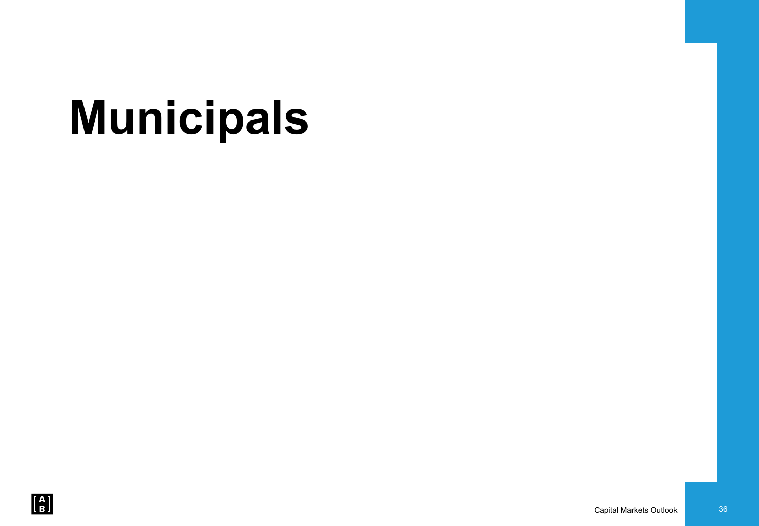# **Municipals**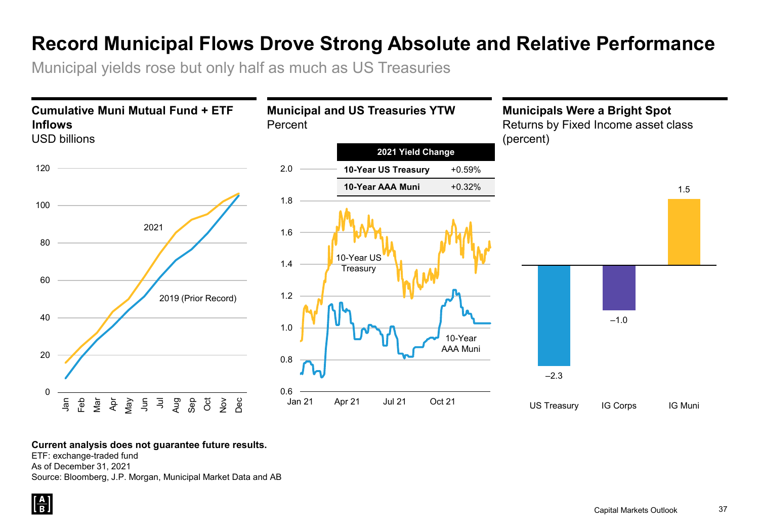## **Record Municipal Flows Drove Strong Absolute and Relative Performance**

Municipal yields rose but only half as much as US Treasuries



#### **Current analysis does not guarantee future results.**

ETF: exchange-traded fund As of December 31, 2021 Source: Bloomberg, J.P. Morgan, Municipal Market Data and AB

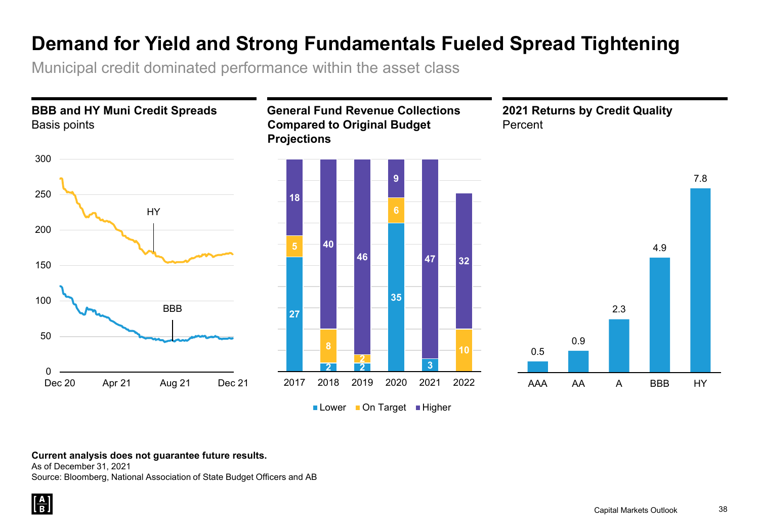## **Demand for Yield and Strong Fundamentals Fueled Spread Tightening**

Municipal credit dominated performance within the asset class



#### **Current analysis does not guarantee future results.**

As of December 31, 2021 Source: Bloomberg, National Association of State Budget Officers and AB

 $\left[\frac{\mathbf{A}}{\mathbf{B}}\right]$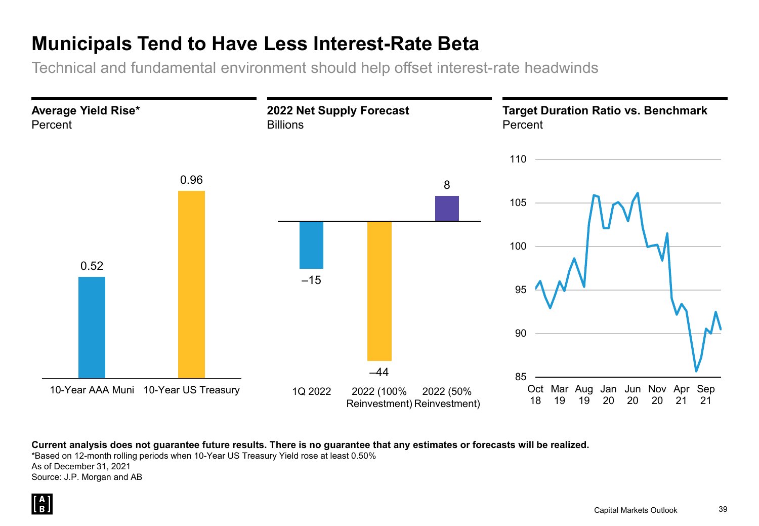## **Municipals Tend to Have Less Interest-Rate Beta**

Technical and fundamental environment should help offset interest-rate headwinds



**Current analysis does not guarantee future results. There is no guarantee that any estimates or forecasts will be realized.**

\*Based on 12-month rolling periods when 10-Year US Treasury Yield rose at least 0.50%

As of December 31, 2021 Source: J.P. Morgan and AB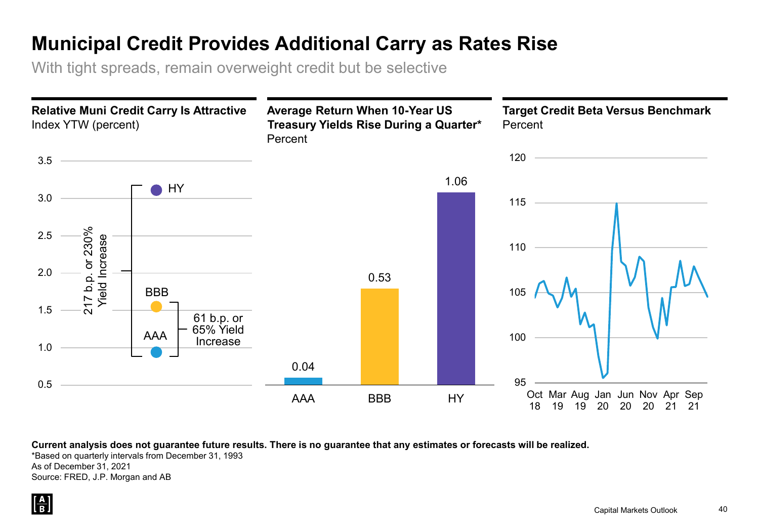## **Municipal Credit Provides Additional Carry as Rates Rise**

With tight spreads, remain overweight credit but be selective



**Current analysis does not guarantee future results. There is no guarantee that any estimates or forecasts will be realized.**

\*Based on quarterly intervals from December 31, 1993 As of December 31, 2021 Source: FRED, J.P. Morgan and AB

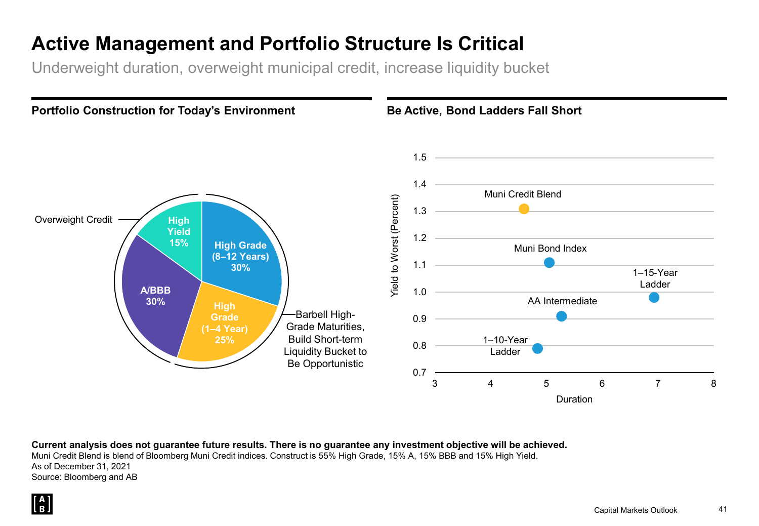## **Active Management and Portfolio Structure Is Critical**

Underweight duration, overweight municipal credit, increase liquidity bucket



**Current analysis does not guarantee future results. There is no guarantee any investment objective will be achieved.** Muni Credit Blend is blend of Bloomberg Muni Credit indices. Construct is 55% High Grade, 15% A, 15% BBB and 15% High Yield. As of December 31, 2021

Source: Bloomberg and AB

 $\left[\frac{\mathbf{A}}{\mathbf{B}}\right]$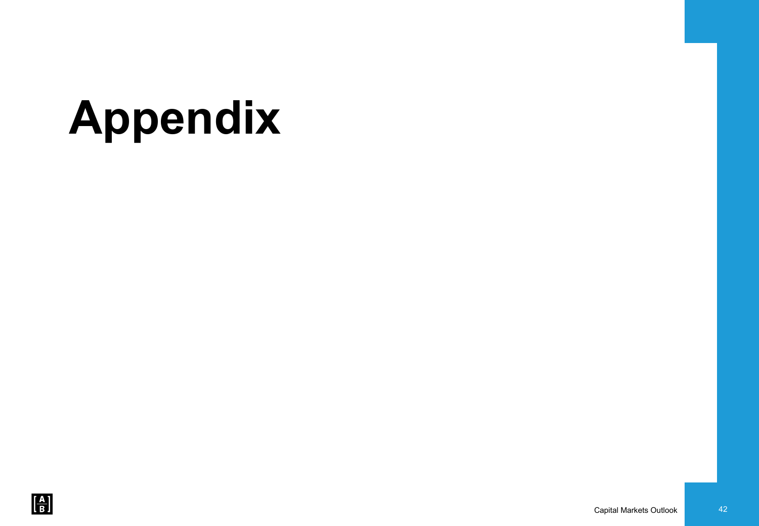# **Appendix**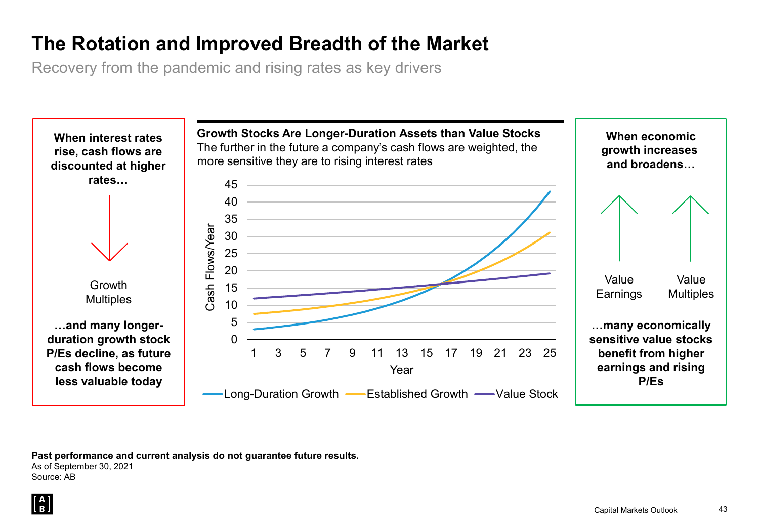## **The Rotation and Improved Breadth of the Market**

Recovery from the pandemic and rising rates as key drivers



**Past performance and current analysis do not guarantee future results.**

As of September 30, 2021 Source: AB

 $\frac{A}{R}$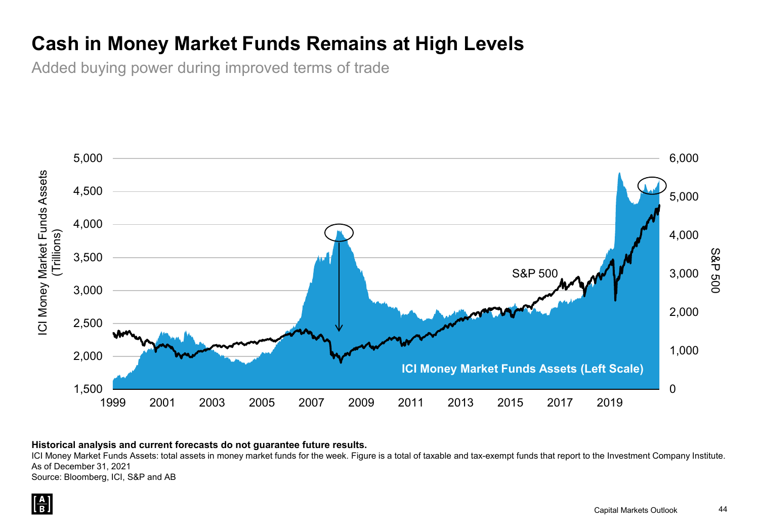## **Cash in Money Market Funds Remains at High Levels**

Added buying power during improved terms of trade



#### **Historical analysis and current forecasts do not guarantee future results.**

ICI Money Market Funds Assets: total assets in money market funds for the week. Figure is a total of taxable and tax-exempt funds that report to the Investment Company Institute. As of December 31, 2021

Source: Bloomberg, ICI, S&P and AB

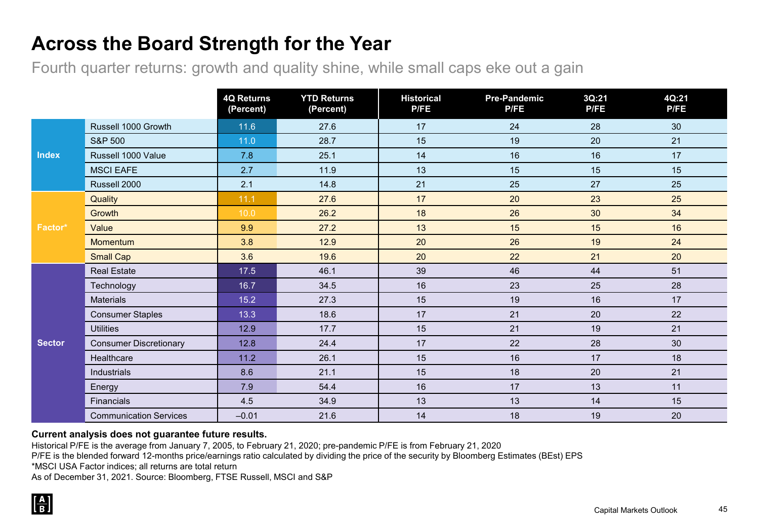## **Across the Board Strength for the Year**

Fourth quarter returns: growth and quality shine, while small caps eke out a gain

|               |                               | <b>4Q Returns</b><br>(Percent) | <b>YTD Returns</b><br>(Percent) | <b>Historical</b><br><b>P/FE</b> | <b>Pre-Pandemic</b><br><b>P/FE</b> | 3Q:21<br><b>P/FE</b> | 4Q:21<br><b>P/FE</b> |
|---------------|-------------------------------|--------------------------------|---------------------------------|----------------------------------|------------------------------------|----------------------|----------------------|
|               | Russell 1000 Growth           | 11.6                           | 27.6                            | 17                               | 24                                 | 28                   | 30                   |
|               | <b>S&amp;P 500</b>            | $11.0$                         | 28.7                            | 15                               | 19                                 | 20                   | 21                   |
| <b>Index</b>  | Russell 1000 Value            | 7.8                            | 25.1                            | 14                               | 16                                 | 16                   | 17                   |
|               | <b>MSCI EAFE</b>              | 2.7                            | 11.9                            | 13                               | 15                                 | 15                   | 15                   |
|               | Russell 2000                  | 2.1                            | 14.8                            | 21                               | 25                                 | 27                   | 25                   |
|               | Quality                       | 11.1                           | 27.6                            | 17                               | 20                                 | 23                   | 25                   |
|               | Growth                        | 10.0                           | 26.2                            | 18                               | 26                                 | 30                   | 34                   |
| Factor*       | Value                         | 9.9                            | 27.2                            | 13                               | 15                                 | 15                   | 16                   |
|               | <b>Momentum</b>               | 3.8                            | 12.9                            | 20                               | 26                                 | 19                   | 24                   |
|               | <b>Small Cap</b>              | 3.6                            | 19.6                            | 20                               | 22                                 | 21                   | 20                   |
|               | <b>Real Estate</b>            | 17.5                           | 46.1                            | 39                               | 46                                 | 44                   | 51                   |
|               | Technology                    | 16.7                           | 34.5                            | 16                               | 23                                 | 25                   | 28                   |
|               | <b>Materials</b>              | 15.2                           | 27.3                            | 15                               | 19                                 | 16                   | 17                   |
|               | <b>Consumer Staples</b>       | 13.3                           | 18.6                            | 17                               | 21                                 | 20                   | 22                   |
|               | <b>Utilities</b>              | 12.9                           | 17.7                            | 15                               | 21                                 | 19                   | 21                   |
| <b>Sector</b> | <b>Consumer Discretionary</b> | 12.8                           | 24.4                            | 17                               | 22                                 | 28                   | 30                   |
|               | Healthcare                    | 11.2                           | 26.1                            | 15                               | 16                                 | 17                   | 18                   |
|               | Industrials                   | 8.6                            | 21.1                            | 15                               | 18                                 | 20                   | 21                   |
|               | Energy                        | 7.9                            | 54.4                            | 16                               | 17                                 | 13                   | 11                   |
|               | Financials                    | 4.5                            | 34.9                            | 13                               | 13                                 | 14                   | 15                   |
|               | <b>Communication Services</b> | $-0.01$                        | 21.6                            | 14                               | 18                                 | 19                   | 20                   |

#### **Current analysis does not guarantee future results.**

Historical P/FE is the average from January 7, 2005, to February 21, 2020; pre-pandemic P/FE is from February 21, 2020

P/FE is the blended forward 12-months price/earnings ratio calculated by dividing the price of the security by Bloomberg Estimates (BEst) EPS

\*MSCI USA Factor indices; all returns are total return

As of December 31, 2021. Source: Bloomberg, FTSE Russell, MSCI and S&P

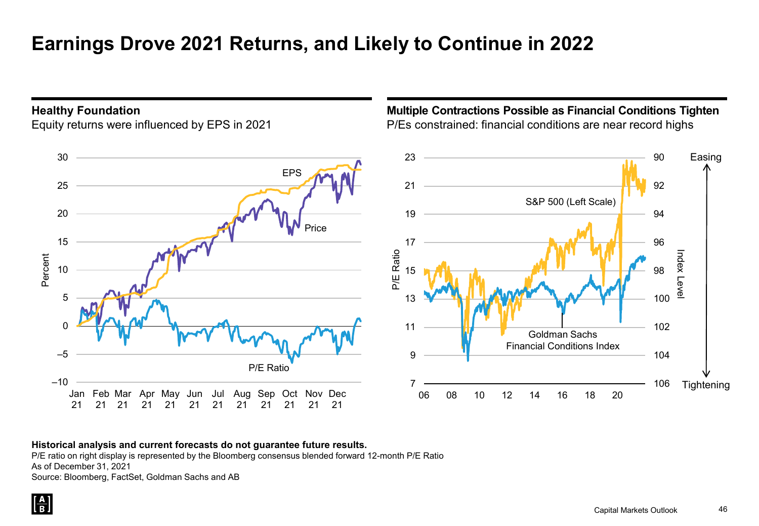## **Earnings Drove 2021 Returns, and Likely to Continue in 2022**

#### **Healthy Foundation**

Equity returns were influenced by EPS in 2021

### **Multiple Contractions Possible as Financial Conditions Tighten** P/Es constrained: financial conditions are near record highs



#### **Historical analysis and current forecasts do not guarantee future results.**

P/E ratio on right display is represented by the Bloomberg consensus blended forward 12-month P/E Ratio As of December 31, 2021

Source: Bloomberg, FactSet, Goldman Sachs and AB

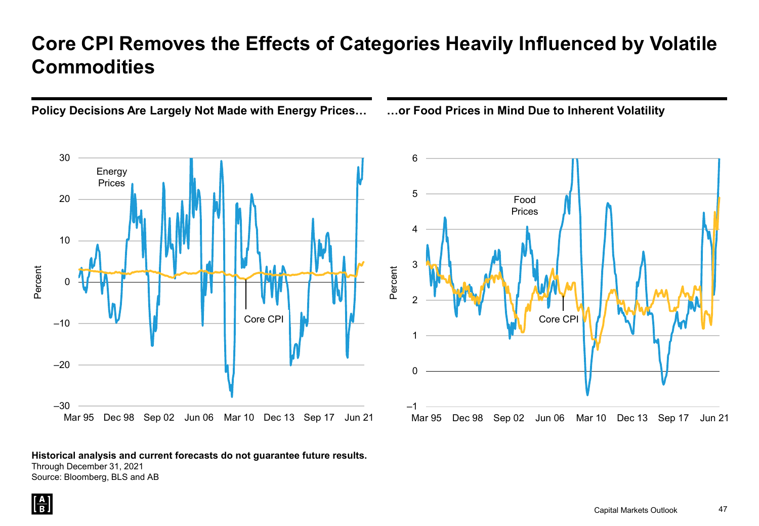## **Core CPI Removes the Effects of Categories Heavily Influenced by Volatile Commodities**





#### **Historical analysis and current forecasts do not guarantee future results.**

Through December 31, 2021 Source: Bloomberg, BLS and AB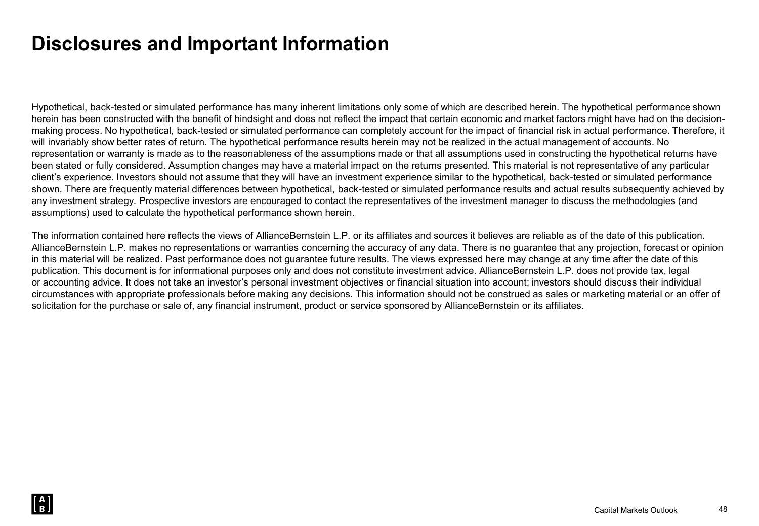## **Disclosures and Important Information**

Hypothetical, back-tested or simulated performance has many inherent limitations only some of which are described herein. The hypothetical performance shown herein has been constructed with the benefit of hindsight and does not reflect the impact that certain economic and market factors might have had on the decisionmaking process. No hypothetical, back-tested or simulated performance can completely account for the impact of financial risk in actual performance. Therefore, it will invariably show better rates of return. The hypothetical performance results herein may not be realized in the actual management of accounts. No representation or warranty is made as to the reasonableness of the assumptions made or that all assumptions used in constructing the hypothetical returns have been stated or fully considered. Assumption changes may have a material impact on the returns presented. This material is not representative of any particular client's experience. Investors should not assume that they will have an investment experience similar to the hypothetical, back-tested or simulated performance shown. There are frequently material differences between hypothetical, back-tested or simulated performance results and actual results subsequently achieved by any investment strategy. Prospective investors are encouraged to contact the representatives of the investment manager to discuss the methodologies (and assumptions) used to calculate the hypothetical performance shown herein.

The information contained here reflects the views of AllianceBernstein L.P. or its affiliates and sources it believes are reliable as of the date of this publication. AllianceBernstein L.P. makes no representations or warranties concerning the accuracy of any data. There is no guarantee that any projection, forecast or opinion in this material will be realized. Past performance does not guarantee future results. The views expressed here may change at any time after the date of this publication. This document is for informational purposes only and does not constitute investment advice. AllianceBernstein L.P. does not provide tax, legal or accounting advice. It does not take an investor's personal investment objectives or financial situation into account; investors should discuss their individual circumstances with appropriate professionals before making any decisions. This information should not be construed as sales or marketing material or an offer of solicitation for the purchase or sale of, any financial instrument, product or service sponsored by AllianceBernstein or its affiliates.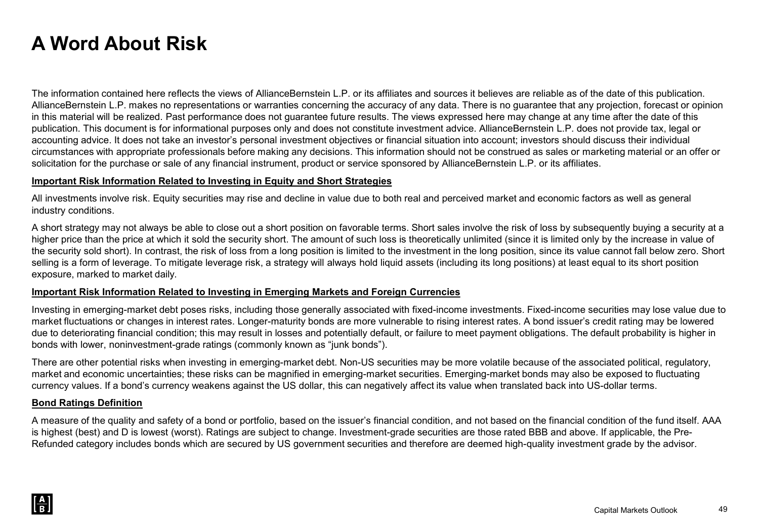## **A Word About Risk**

The information contained here reflects the views of AllianceBernstein L.P. or its affiliates and sources it believes are reliable as of the date of this publication. AllianceBernstein L.P. makes no representations or warranties concerning the accuracy of any data. There is no guarantee that any projection, forecast or opinion in this material will be realized. Past performance does not guarantee future results. The views expressed here may change at any time after the date of this publication. This document is for informational purposes only and does not constitute investment advice. AllianceBernstein L.P. does not provide tax, legal or accounting advice. It does not take an investor's personal investment objectives or financial situation into account; investors should discuss their individual circumstances with appropriate professionals before making any decisions. This information should not be construed as sales or marketing material or an offer or solicitation for the purchase or sale of any financial instrument, product or service sponsored by AllianceBernstein L.P. or its affiliates.

#### **Important Risk Information Related to Investing in Equity and Short Strategies**

All investments involve risk. Equity securities may rise and decline in value due to both real and perceived market and economic factors as well as general industry conditions.

A short strategy may not always be able to close out a short position on favorable terms. Short sales involve the risk of loss by subsequently buying a security at a higher price than the price at which it sold the security short. The amount of such loss is theoretically unlimited (since it is limited only by the increase in value of the security sold short). In contrast, the risk of loss from a long position is limited to the investment in the long position, since its value cannot fall below zero. Short selling is a form of leverage. To mitigate leverage risk, a strategy will always hold liquid assets (including its long positions) at least equal to its short position exposure, marked to market daily.

#### **Important Risk Information Related to Investing in Emerging Markets and Foreign Currencies**

Investing in emerging-market debt poses risks, including those generally associated with fixed-income investments. Fixed-income securities may lose value due to market fluctuations or changes in interest rates. Longer-maturity bonds are more vulnerable to rising interest rates. A bond issuer's credit rating may be lowered due to deteriorating financial condition; this may result in losses and potentially default, or failure to meet payment obligations. The default probability is higher in bonds with lower, noninvestment-grade ratings (commonly known as "junk bonds").

There are other potential risks when investing in emerging-market debt. Non-US securities may be more volatile because of the associated political, regulatory, market and economic uncertainties; these risks can be magnified in emerging-market securities. Emerging-market bonds may also be exposed to fluctuating currency values. If a bond's currency weakens against the US dollar, this can negatively affect its value when translated back into US-dollar terms.

#### **Bond Ratings Definition**

A measure of the quality and safety of a bond or portfolio, based on the issuer's financial condition, and not based on the financial condition of the fund itself. AAA is highest (best) and D is lowest (worst). Ratings are subject to change. Investment-grade securities are those rated BBB and above. If applicable, the Pre-Refunded category includes bonds which are secured by US government securities and therefore are deemed high-quality investment grade by the advisor.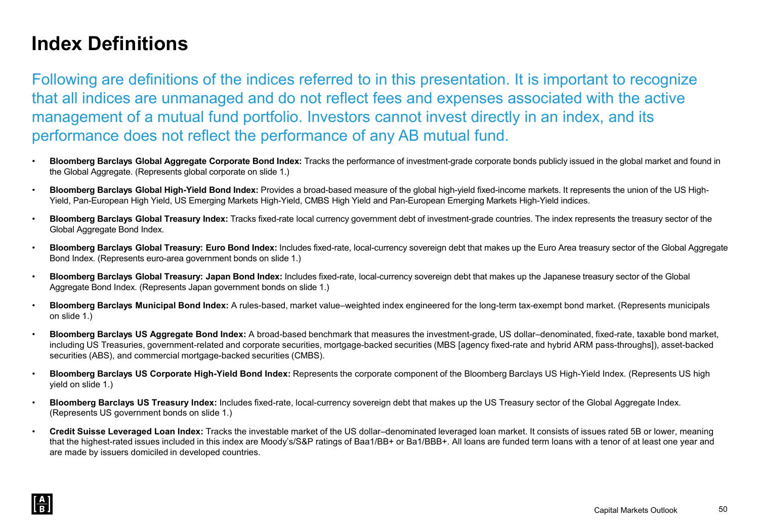## **Index Definitions**

Following are definitions of the indices referred to in this presentation. It is important to recognize that all indices are unmanaged and do not reflect fees and expenses associated with the active management of a mutual fund portfolio. Investors cannot invest directly in an index, and its performance does not reflect the performance of any AB mutual fund.

- **Bloomberg Barclays Global Aggregate Corporate Bond Index:** Tracks the performance of investment-grade corporate bonds publicly issued in the global market and found in the Global Aggregate. (Represents global corporate on slide 1.)
- **Bloomberg Barclays Global High-Yield Bond Index:** Provides a broad-based measure of the global high-yield fixed-income markets. It represents the union of the US High-Yield, Pan-European High Yield, US Emerging Markets High-Yield, CMBS High Yield and Pan-European Emerging Markets High-Yield indices.
- **Bloomberg Barclays Global Treasury Index:** Tracks fixed-rate local currency government debt of investment-grade countries. The index represents the treasury sector of the Global Aggregate Bond Index.
- **Bloomberg Barclays Global Treasury: Euro Bond Index:** Includes fixed-rate, local-currency sovereign debt that makes up the Euro Area treasury sector of the Global Aggregate Bond Index. (Represents euro-area government bonds on slide 1.)
- **Bloomberg Barclays Global Treasury: Japan Bond Index:** Includes fixed-rate, local-currency sovereign debt that makes up the Japanese treasury sector of the Global Aggregate Bond Index. (Represents Japan government bonds on slide 1.)
- **Bloomberg Barclays Municipal Bond Index:** A rules-based, market value–weighted index engineered for the long-term tax-exempt bond market. (Represents municipals on slide 1.)
- **Bloomberg Barclays US Aggregate Bond Index:** A broad-based benchmark that measures the investment-grade, US dollar–denominated, fixed-rate, taxable bond market, including US Treasuries, government-related and corporate securities, mortgage-backed securities (MBS [agency fixed-rate and hybrid ARM pass-throughs]), asset-backed securities (ABS), and commercial mortgage-backed securities (CMBS).
- **Bloomberg Barclays US Corporate High-Yield Bond Index:** Represents the corporate component of the Bloomberg Barclays US High-Yield Index. (Represents US high yield on slide 1.)
- **Bloomberg Barclays US Treasury Index:** Includes fixed-rate, local-currency sovereign debt that makes up the US Treasury sector of the Global Aggregate Index. (Represents US government bonds on slide 1.)
- **Credit Suisse Leveraged Loan Index:** Tracks the investable market of the US dollar–denominated leveraged loan market. It consists of issues rated 5B or lower, meaning that the highest-rated issues included in this index are Moody's/S&P ratings of Baa1/BB+ or Ba1/BBB+. All loans are funded term loans with a tenor of at least one year and are made by issuers domiciled in developed countries.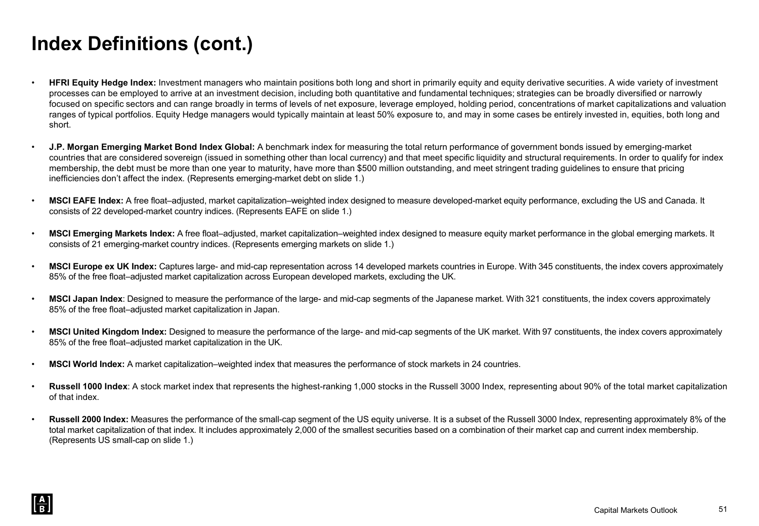## **Index Definitions (cont.)**

- **HFRI Equity Hedge Index:** Investment managers who maintain positions both long and short in primarily equity and equity derivative securities. A wide variety of investment processes can be employed to arrive at an investment decision, including both quantitative and fundamental techniques; strategies can be broadly diversified or narrowly focused on specific sectors and can range broadly in terms of levels of net exposure, leverage employed, holding period, concentrations of market capitalizations and valuation ranges of typical portfolios. Equity Hedge managers would typically maintain at least 50% exposure to, and may in some cases be entirely invested in, equities, both long and short.
- **J.P. Morgan Emerging Market Bond Index Global:** A benchmark index for measuring the total return performance of government bonds issued by emerging-market countries that are considered sovereign (issued in something other than local currency) and that meet specific liquidity and structural requirements. In order to qualify for index membership, the debt must be more than one year to maturity, have more than \$500 million outstanding, and meet stringent trading guidelines to ensure that pricing inefficiencies don't affect the index. (Represents emerging-market debt on slide 1.)
- **MSCI EAFE Index:** A free float–adjusted, market capitalization–weighted index designed to measure developed-market equity performance, excluding the US and Canada. It consists of 22 developed-market country indices. (Represents EAFE on slide 1.)
- **MSCI Emerging Markets Index:** A free float–adjusted, market capitalization–weighted index designed to measure equity market performance in the global emerging markets. It consists of 21 emerging-market country indices. (Represents emerging markets on slide 1.)
- **MSCI Europe ex UK Index:** Captures large- and mid-cap representation across 14 developed markets countries in Europe. With 345 constituents, the index covers approximately 85% of the free float–adjusted market capitalization across European developed markets, excluding the UK.
- **MSCI Japan Index**: Designed to measure the performance of the large- and mid-cap segments of the Japanese market. With 321 constituents, the index covers approximately 85% of the free float–adjusted market capitalization in Japan.
- **MSCI United Kingdom Index:** Designed to measure the performance of the large- and mid-cap segments of the UK market. With 97 constituents, the index covers approximately 85% of the free float–adjusted market capitalization in the UK.
- **MSCI World Index:** A market capitalization–weighted index that measures the performance of stock markets in 24 countries.
- **Russell 1000 Index**: A stock market index that represents the highest-ranking 1,000 stocks in the Russell 3000 Index, representing about 90% of the total market capitalization of that index.
- **Russell 2000 Index:** Measures the performance of the small-cap segment of the US equity universe. It is a subset of the Russell 3000 Index, representing approximately 8% of the total market capitalization of that index. It includes approximately 2,000 of the smallest securities based on a combination of their market cap and current index membership. (Represents US small-cap on slide 1.)

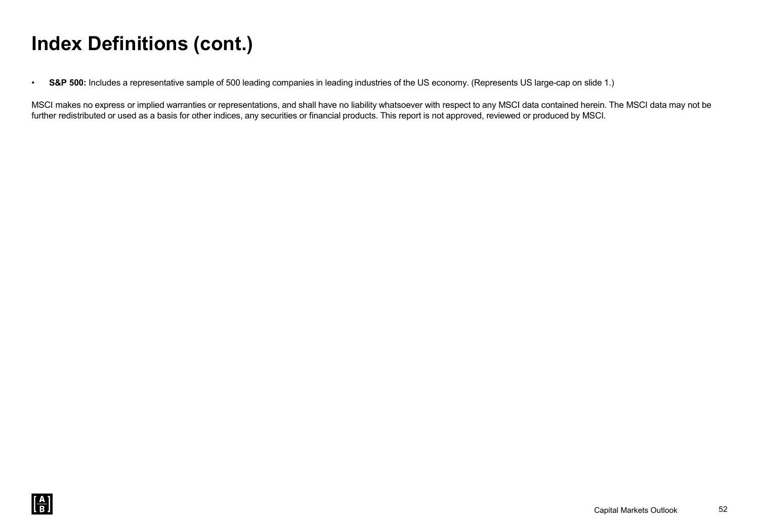## **Index Definitions (cont.)**

• **S&P 500:** Includes a representative sample of 500 leading companies in leading industries of the US economy. (Represents US large-cap on slide 1.)

MSCI makes no express or implied warranties or representations, and shall have no liability whatsoever with respect to any MSCI data contained herein. The MSCI data may not be further redistributed or used as a basis for other indices, any securities or financial products. This report is not approved, reviewed or produced by MSCI.